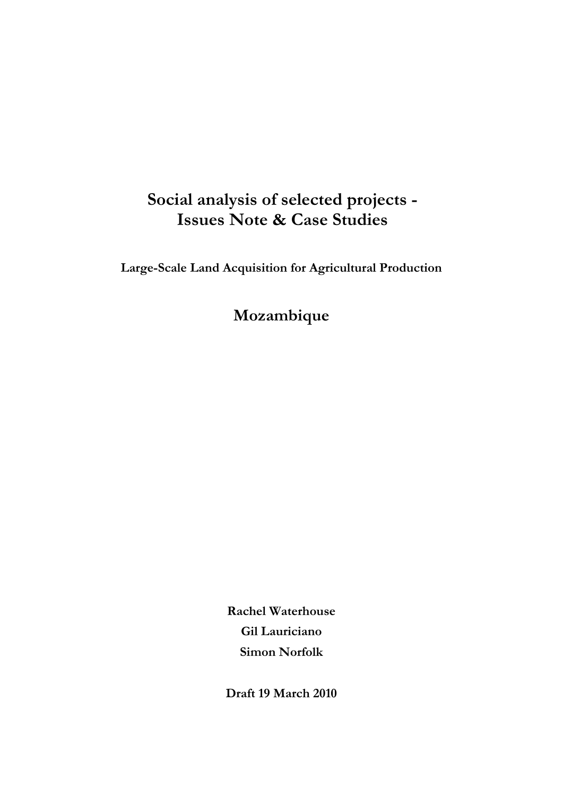# **Social analysis of selected projects - Issues Note & Case Studies**

**Large-Scale Land Acquisition for Agricultural Production** 

**Mozambique** 

**Rachel Waterhouse Gil Lauriciano Simon Norfolk** 

**Draft 19 March 2010**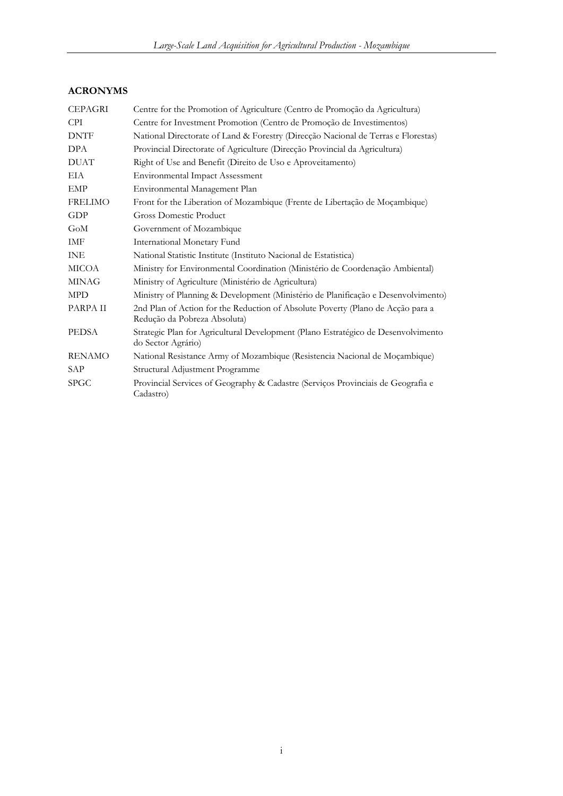### **ACRONYMS**

| <b>CEPAGRI</b> | Centre for the Promotion of Agriculture (Centro de Promoção da Agricultura)                                     |
|----------------|-----------------------------------------------------------------------------------------------------------------|
| <b>CPI</b>     | Centre for Investment Promotion (Centro de Promoção de Investimentos)                                           |
| <b>DNTF</b>    | National Directorate of Land & Forestry (Direcção Nacional de Terras e Florestas)                               |
| <b>DPA</b>     | Provincial Directorate of Agriculture (Direcção Provincial da Agricultura)                                      |
| <b>DUAT</b>    | Right of Use and Benefit (Direito de Uso e Aproveitamento)                                                      |
| EIA            | <b>Environmental Impact Assessment</b>                                                                          |
| <b>EMP</b>     | Environmental Management Plan                                                                                   |
| <b>FRELIMO</b> | Front for the Liberation of Mozambique (Frente de Libertação de Moçambique)                                     |
| GDP            | Gross Domestic Product                                                                                          |
| GoM            | Government of Mozambique                                                                                        |
| IMF            | International Monetary Fund                                                                                     |
| <b>INE</b>     | National Statistic Institute (Instituto Nacional de Estatistica)                                                |
| MICOA          | Ministry for Environmental Coordination (Ministério de Coordenação Ambiental)                                   |
| <b>MINAG</b>   | Ministry of Agriculture (Ministério de Agricultura)                                                             |
| <b>MPD</b>     | Ministry of Planning & Development (Ministério de Planificação e Desenvolvimento)                               |
| PARPA II       | 2nd Plan of Action for the Reduction of Absolute Poverty (Plano de Acção para a<br>Redução da Pobreza Absoluta) |
| <b>PEDSA</b>   | Strategic Plan for Agricultural Development (Plano Estratégico de Desenvolvimento<br>do Sector Agrário)         |
| <b>RENAMO</b>  | National Resistance Army of Mozambique (Resistencia Nacional de Moçambique)                                     |
| SAP            | Structural Adjustment Programme                                                                                 |
| <b>SPGC</b>    | Provincial Services of Geography & Cadastre (Serviços Provinciais de Geografia e<br>Cadastro)                   |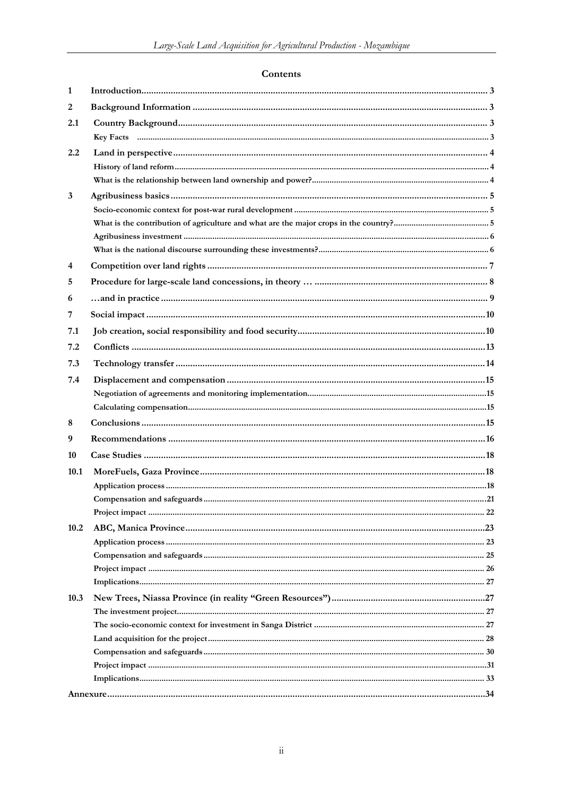### Contents

| 1    |  |
|------|--|
| 2    |  |
| 2.1  |  |
|      |  |
| 2.2  |  |
|      |  |
|      |  |
| 3    |  |
|      |  |
|      |  |
|      |  |
|      |  |
| 4    |  |
| 5    |  |
| 6    |  |
| 7    |  |
| 7.1  |  |
| 7.2  |  |
| 7.3  |  |
| 7.4  |  |
|      |  |
|      |  |
| 8    |  |
| 9    |  |
| 10   |  |
| 10.1 |  |
|      |  |
|      |  |
|      |  |
| 10.2 |  |
|      |  |
|      |  |
|      |  |
|      |  |
| 10.3 |  |
|      |  |
|      |  |
|      |  |
|      |  |
|      |  |
|      |  |
|      |  |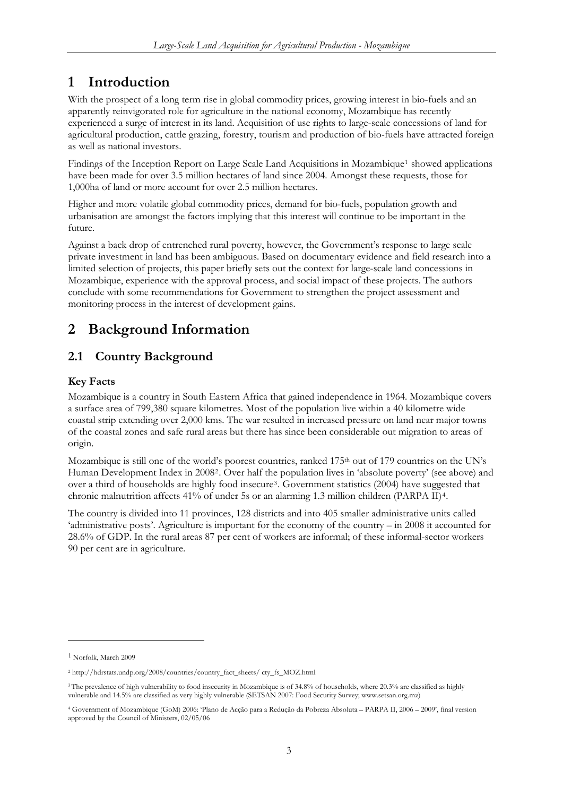# <span id="page-3-0"></span>**1 Introduction**

With the prospect of a long term rise in global commodity prices, growing interest in bio-fuels and an apparently reinvigorated role for agriculture in the national economy, Mozambique has recently experienced a surge of interest in its land. Acquisition of use rights to large-scale concessions of land for agricultural production, cattle grazing, forestry, tourism and production of bio-fuels have attracted foreign as well as national investors.

Findings of the Inception Report on Large Scale Land Acquisitions in Mozambique<sup>[1](#page-3-1)</sup> showed applications have been made for over 3.5 million hectares of land since 2004. Amongst these requests, those for 1,000ha of land or more account for over 2.5 million hectares.

Higher and more volatile global commodity prices, demand for bio-fuels, population growth and urbanisation are amongst the factors implying that this interest will continue to be important in the future.

Against a back drop of entrenched rural poverty, however, the Government's response to large scale private investment in land has been ambiguous. Based on documentary evidence and field research into a limited selection of projects, this paper briefly sets out the context for large-scale land concessions in Mozambique, experience with the approval process, and social impact of these projects. The authors conclude with some recommendations for Government to strengthen the project assessment and monitoring process in the interest of development gains.

# **2 Background Information**

### **2.1 Country Background**

### **Key Facts**

Mozambique is a country in South Eastern Africa that gained independence in 1964. Mozambique covers a surface area of 799,380 square kilometres. Most of the population live within a 40 kilometre wide coastal strip extending over 2,000 kms. The war resulted in increased pressure on land near major towns of the coastal zones and safe rural areas but there has since been considerable out migration to areas of origin.

Mozambique is still one of the world's poorest countries, ranked 175<sup>th</sup> out of 179 countries on the UN's Human Development Index in 2008[2](#page-3-2). Over half the population lives in 'absolute poverty' (see above) and over a third of households are highly food insecure<sup>[3](#page-3-3)</sup>. Government statistics (2004) have suggested that chronic malnutrition affects 41% of under 5s or an alarming 1.3 million children (PARPA II)[4](#page-3-4).

The country is divided into 11 provinces, 128 districts and into 405 smaller administrative units called 'administrative posts'. Agriculture is important for the economy of the country – in 2008 it accounted for 28.6% of GDP. In the rural areas 87 per cent of workers are informal; of these informal-sector workers 90 per cent are in agriculture.

-

<span id="page-3-1"></span><sup>1</sup> Norfolk, March 2009

<span id="page-3-2"></span><sup>2</sup> http://hdrstats.undp.org/2008/countries/country\_fact\_sheets/ cty\_fs\_MOZ.html

<span id="page-3-3"></span><sup>&</sup>lt;sup>3</sup> The prevalence of high vulnerability to food insecurity in Mozambique is of 34.8% of households, where 20.3% are classified as highly vulnerable and 14.5% are classified as very highly vulnerable (SETSAN 2007: Food Security Survey; [www.setsan.org.mz\)](http://www.setsan.org.mz/)

<span id="page-3-4"></span><sup>4</sup> Government of Mozambique (GoM) 2006: 'Plano de Acção para a Redução da Pobreza Absoluta – PARPA II, 2006 – 2009', final version approved by the Council of Ministers, 02/05/06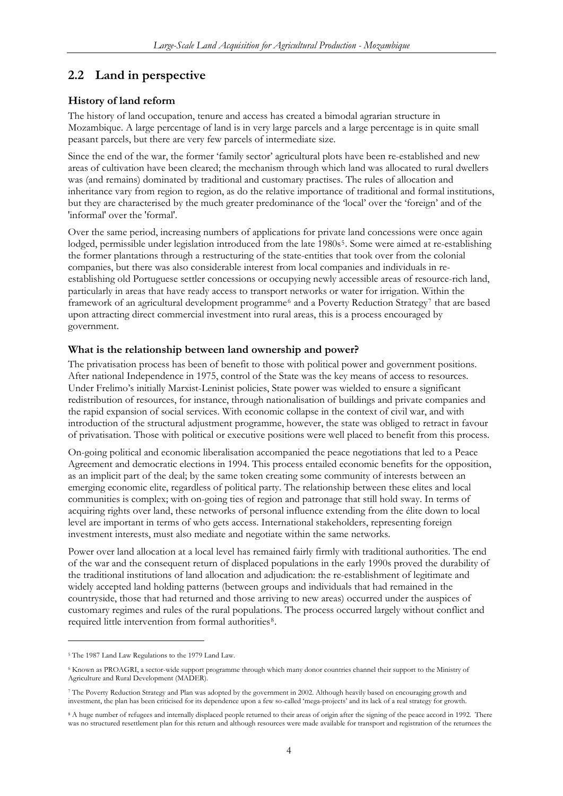### <span id="page-4-0"></span>**2.2 Land in perspective**

### **History of land reform**

The history of land occupation, tenure and access has created a bimodal agrarian structure in Mozambique. A large percentage of land is in very large parcels and a large percentage is in quite small peasant parcels, but there are very few parcels of intermediate size.

Since the end of the war, the former 'family sector' agricultural plots have been re-established and new areas of cultivation have been cleared; the mechanism through which land was allocated to rural dwellers was (and remains) dominated by traditional and customary practises. The rules of allocation and inheritance vary from region to region, as do the relative importance of traditional and formal institutions, but they are characterised by the much greater predominance of the 'local' over the 'foreign' and of the 'informal' over the 'formal'.

Over the same period, increasing numbers of applications for private land concessions were once again lodged, permissible under legislation introduced from the late 1980s<sup>[5](#page-4-1)</sup>. Some were aimed at re-establishing the former plantations through a restructuring of the state-entities that took over from the colonial companies, but there was also considerable interest from local companies and individuals in reestablishing old Portuguese settler concessions or occupying newly accessible areas of resource-rich land, particularly in areas that have ready access to transport networks or water for irrigation. Within the framework of an agricultural development programme<sup>[6](#page-4-2)</sup> and a Poverty Reduction Strategy<sup>[7](#page-4-3)</sup> that are based upon attracting direct commercial investment into rural areas, this is a process encouraged by government.

### **What is the relationship between land ownership and power?**

The privatisation process has been of benefit to those with political power and government positions. After national Independence in 1975, control of the State was the key means of access to resources. Under Frelimo's initially Marxist-Leninist policies, State power was wielded to ensure a significant redistribution of resources, for instance, through nationalisation of buildings and private companies and the rapid expansion of social services. With economic collapse in the context of civil war, and with introduction of the structural adjustment programme, however, the state was obliged to retract in favour of privatisation. Those with political or executive positions were well placed to benefit from this process.

On-going political and economic liberalisation accompanied the peace negotiations that led to a Peace Agreement and democratic elections in 1994. This process entailed economic benefits for the opposition, as an implicit part of the deal; by the same token creating some community of interests between an emerging economic elite, regardless of political party. The relationship between these elites and local communities is complex; with on-going ties of region and patronage that still hold sway. In terms of acquiring rights over land, these networks of personal influence extending from the élite down to local level are important in terms of who gets access. International stakeholders, representing foreign investment interests, must also mediate and negotiate within the same networks.

Power over land allocation at a local level has remained fairly firmly with traditional authorities. The end of the war and the consequent return of displaced populations in the early 1990s proved the durability of the traditional institutions of land allocation and adjudication: the re-establishment of legitimate and widely accepted land holding patterns (between groups and individuals that had remained in the countryside, those that had returned and those arriving to new areas) occurred under the auspices of customary regimes and rules of the rural populations. The process occurred largely without conflict and required little intervention from formal authorities<sup>[8](#page-4-4)</sup>.

<u>.</u>

<span id="page-4-1"></span><sup>5</sup> The 1987 Land Law Regulations to the 1979 Land Law.

<span id="page-4-2"></span><sup>6</sup> Known as PROAGRI, a sector-wide support programme through which many donor countries channel their support to the Ministry of Agriculture and Rural Development (MADER).

<span id="page-4-3"></span><sup>7</sup> The Poverty Reduction Strategy and Plan was adopted by the government in 2002. Although heavily based on encouraging growth and investment, the plan has been criticised for its dependence upon a few so-called 'mega-projects' and its lack of a real strategy for growth.

<span id="page-4-4"></span><sup>8</sup> A huge number of refugees and internally displaced people returned to their areas of origin after the signing of the peace accord in 1992. There was no structured resettlement plan for this return and although resources were made available for transport and registration of the returnees the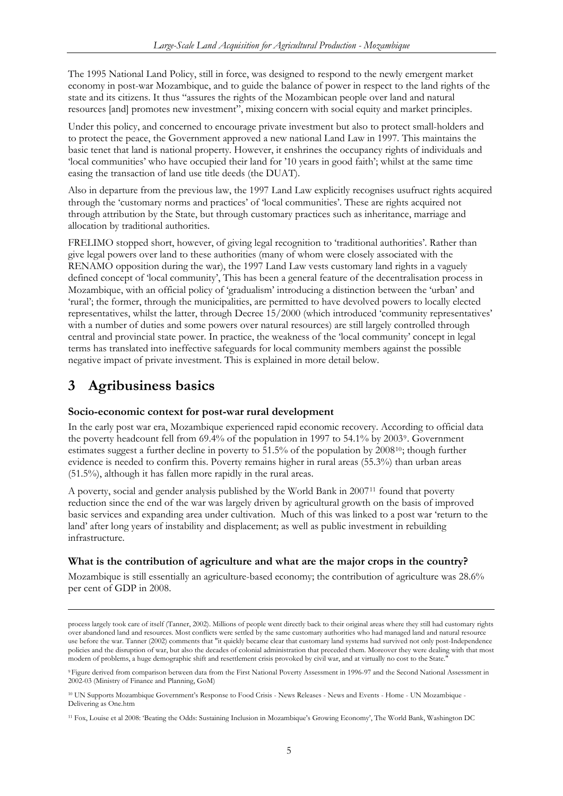<span id="page-5-0"></span>The 1995 National Land Policy, still in force, was designed to respond to the newly emergent market economy in post-war Mozambique, and to guide the balance of power in respect to the land rights of the state and its citizens. It thus "assures the rights of the Mozambican people over land and natural resources [and] promotes new investment", mixing concern with social equity and market principles.

Under this policy, and concerned to encourage private investment but also to protect small-holders and to protect the peace, the Government approved a new national Land Law in 1997. This maintains the basic tenet that land is national property. However, it enshrines the occupancy rights of individuals and 'local communities' who have occupied their land for '10 years in good faith'; whilst at the same time easing the transaction of land use title deeds (the DUAT).

Also in departure from the previous law, the 1997 Land Law explicitly recognises usufruct rights acquired through the 'customary norms and practices' of 'local communities'. These are rights acquired not through attribution by the State, but through customary practices such as inheritance, marriage and allocation by traditional authorities.

FRELIMO stopped short, however, of giving legal recognition to 'traditional authorities'. Rather than give legal powers over land to these authorities (many of whom were closely associated with the RENAMO opposition during the war), the 1997 Land Law vests customary land rights in a vaguely defined concept of 'local community', This has been a general feature of the decentralisation process in Mozambique, with an official policy of 'gradualism' introducing a distinction between the 'urban' and 'rural'; the former, through the municipalities, are permitted to have devolved powers to locally elected representatives, whilst the latter, through Decree 15/2000 (which introduced 'community representatives' with a number of duties and some powers over natural resources) are still largely controlled through central and provincial state power. In practice, the weakness of the 'local community' concept in legal terms has translated into ineffective safeguards for local community members against the possible negative impact of private investment. This is explained in more detail below.

# **3 Agribusiness basics**

<u>.</u>

### **Socio-economic context for post-war rural development**

In the early post war era, Mozambique experienced rapid economic recovery. According to official data the poverty headcount fell from 69.4% of the population in 1997 to 54.1% by 2003[9](#page-5-1). Government estimates suggest a further decline in poverty to  $51.5\%$  of the population by  $2008^{10}$  $2008^{10}$  $2008^{10}$ ; though further evidence is needed to confirm this. Poverty remains higher in rural areas (55.3%) than urban areas (51.5%), although it has fallen more rapidly in the rural areas.

A poverty, social and gender analysis published by the World Bank in 2007[11](#page-5-3) found that poverty reduction since the end of the war was largely driven by agricultural growth on the basis of improved basic services and expanding area under cultivation. Much of this was linked to a post war 'return to the land' after long years of instability and displacement; as well as public investment in rebuilding infrastructure.

### **What is the contribution of agriculture and what are the major crops in the country?**

Mozambique is still essentially an agriculture-based economy; the contribution of agriculture was 28.6% per cent of GDP in 2008.

process largely took care of itself (Tanner, 2002). Millions of people went directly back to their original areas where they still had customary rights over abandoned land and resources. Most conflicts were settled by the same customary authorities who had managed land and natural resource use before the war. Tanner (2002) comments that "it quickly became clear that customary land systems had survived not only post-Independence policies and the disruption of war, but also the decades of colonial administration that preceded them. Moreover they were dealing with that most modern of problems, a huge demographic shift and resettlement crisis provoked by civil war, and at virtually no cost to the State."

<span id="page-5-1"></span><sup>9</sup> Figure derived from comparison between data from the First National Poverty Assessment in 1996-97 and the Second National Assessment in 2002-03 (Ministry of Finance and Planning, GoM)

<span id="page-5-2"></span><sup>10</sup> UN Supports Mozambique Government's Response to Food Crisis - News Releases - News and Events - Home - UN Mozambique - Delivering as One.htm

<span id="page-5-3"></span><sup>11</sup> Fox, Louise et al 2008: 'Beating the Odds: Sustaining Inclusion in Mozambique's Growing Economy', The World Bank, Washington DC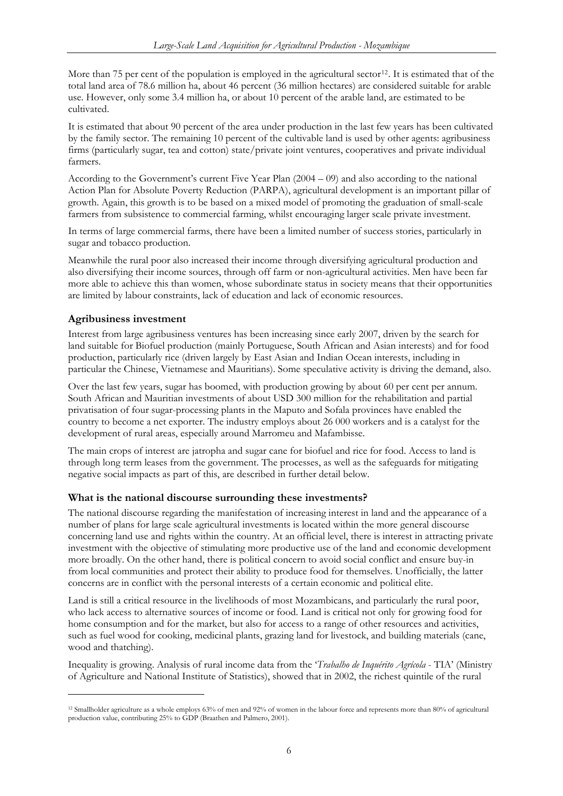<span id="page-6-0"></span>More than 75 per cent of the population is employed in the agricultural sector<sup>[12](#page-6-1)</sup>. It is estimated that of the total land area of 78.6 million ha, about 46 percent (36 million hectares) are considered suitable for arable use. However, only some 3.4 million ha, or about 10 percent of the arable land, are estimated to be cultivated.

It is estimated that about 90 percent of the area under production in the last few years has been cultivated by the family sector. The remaining 10 percent of the cultivable land is used by other agents: agribusiness firms (particularly sugar, tea and cotton) state/private joint ventures, cooperatives and private individual farmers.

According to the Government's current Five Year Plan (2004 – 09) and also according to the national Action Plan for Absolute Poverty Reduction (PARPA), agricultural development is an important pillar of growth. Again, this growth is to be based on a mixed model of promoting the graduation of small-scale farmers from subsistence to commercial farming, whilst encouraging larger scale private investment.

In terms of large commercial farms, there have been a limited number of success stories, particularly in sugar and tobacco production.

Meanwhile the rural poor also increased their income through diversifying agricultural production and also diversifying their income sources, through off farm or non-agricultural activities. Men have been far more able to achieve this than women, whose subordinate status in society means that their opportunities are limited by labour constraints, lack of education and lack of economic resources.

### **Agribusiness investment**

-

Interest from large agribusiness ventures has been increasing since early 2007, driven by the search for land suitable for Biofuel production (mainly Portuguese, South African and Asian interests) and for food production, particularly rice (driven largely by East Asian and Indian Ocean interests, including in particular the Chinese, Vietnamese and Mauritians). Some speculative activity is driving the demand, also.

Over the last few years, sugar has boomed, with production growing by about 60 per cent per annum. South African and Mauritian investments of about USD 300 million for the rehabilitation and partial privatisation of four sugar-processing plants in the Maputo and Sofala provinces have enabled the country to become a net exporter. The industry employs about 26 000 workers and is a catalyst for the development of rural areas, especially around Marromeu and Mafambisse.

The main crops of interest are jatropha and sugar cane for biofuel and rice for food. Access to land is through long term leases from the government. The processes, as well as the safeguards for mitigating negative social impacts as part of this, are described in further detail below.

### **What is the national discourse surrounding these investments?**

The national discourse regarding the manifestation of increasing interest in land and the appearance of a number of plans for large scale agricultural investments is located within the more general discourse concerning land use and rights within the country. At an official level, there is interest in attracting private investment with the objective of stimulating more productive use of the land and economic development more broadly. On the other hand, there is political concern to avoid social conflict and ensure buy-in from local communities and protect their ability to produce food for themselves. Unofficially, the latter concerns are in conflict with the personal interests of a certain economic and political elite.

Land is still a critical resource in the livelihoods of most Mozambicans, and particularly the rural poor, who lack access to alternative sources of income or food. Land is critical not only for growing food for home consumption and for the market, but also for access to a range of other resources and activities, such as fuel wood for cooking, medicinal plants, grazing land for livestock, and building materials (cane, wood and thatching).

Inequality is growing. Analysis of rural income data from the '*Trabalho de Inquérito Agrícola* - TIA' (Ministry of Agriculture and National Institute of Statistics), showed that in 2002, the richest quintile of the rural

<span id="page-6-1"></span><sup>12</sup> Smallholder agriculture as a whole employs 63% of men and 92% of women in the labour force and represents more than 80% of agricultural production value, contributing 25% to GDP (Braathen and Palmero, 2001).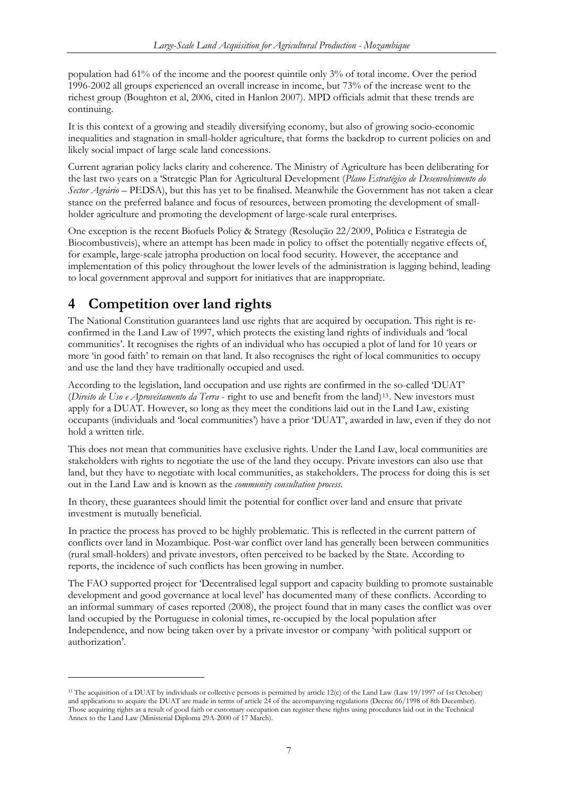<span id="page-7-0"></span>population had 61% of the income and the poorest quintile only 3% of total income. Over the period 1996-2002 all groups experienced an overall increase in income, but 73% of the increase went to the richest group (Boughton et al, 2006, cited in Hanlon 2007). MPD officials admit that these trends are continuing.

It is this context of a growing and steadily diversifying economy, but also of growing socio-economic inequalities and stagnation in small-holder agriculture, that forms the backdrop to current policies on and likely social impact of large scale land concessions.

Current agrarian policy lacks clarity and coherence. The Ministry of Agriculture has been deliberating for the last two years on a 'Strategic Plan for Agricultural Development (*Plano Estratégico de Desenvolvimento do Sector Agrário* – PEDSA), but this has yet to be finalised. Meanwhile the Government has not taken a clear stance on the preferred balance and focus of resources, between promoting the development of smallholder agriculture and promoting the development of large-scale rural enterprises.

One exception is the recent Biofuels Policy & Strategy (Resolução 22/2009, Politica e Estrategia de Biocombustiveis), where an attempt has been made in policy to offset the potentially negative effects of, for example, large-scale jatropha production on local food security. However, the acceptance and implementation of this policy throughout the lower levels of the administration is lagging behind, leading to local government approval and support for initiatives that are inappropriate.

# **4 Competition over land rights**

-

The National Constitution guarantees land use rights that are acquired by occupation. This right is reconfirmed in the Land Law of 1997, which protects the existing land rights of individuals and 'local communities'. It recognises the rights of an individual who has occupied a plot of land for 10 years or more 'in good faith' to remain on that land. It also recognises the right of local communities to occupy and use the land they have traditionally occupied and used.

According to the legislation, land occupation and use rights are confirmed in the so-called 'DUAT' (*Direito de Uso e Aproveitamento da Terra* - right to use and benefit from the land)[13](#page-7-1). New investors must apply for a DUAT. However, so long as they meet the conditions laid out in the Land Law, existing occupants (individuals and 'local communities') have a prior 'DUAT', awarded in law, even if they do not hold a written title.

This does not mean that communities have exclusive rights. Under the Land Law, local communities are stakeholders with rights to negotiate the use of the land they occupy. Private investors can also use that land, but they have to negotiate with local communities, as stakeholders. The process for doing this is set out in the Land Law and is known as the *community consultation process*.

In theory, these guarantees should limit the potential for conflict over land and ensure that private investment is mutually beneficial.

In practice the process has proved to be highly problematic. This is reflected in the current pattern of conflicts over land in Mozambique. Post-war conflict over land has generally been between communities (rural small-holders) and private investors, often perceived to be backed by the State. According to reports, the incidence of such conflicts has been growing in number.

The FAO supported project for 'Decentralised legal support and capacity building to promote sustainable development and good governance at local level' has documented many of these conflicts. According to an informal summary of cases reported (2008), the project found that in many cases the conflict was over land occupied by the Portuguese in colonial times, re-occupied by the local population after Independence, and now being taken over by a private investor or company 'with political support or authorization'.

<span id="page-7-1"></span><sup>&</sup>lt;sup>13</sup> The acquisition of a DUAT by individuals or collective persons is permitted by article 12(c) of the Land Law (Law 19/1997 of 1st October) and applications to acquire the DUAT are made in terms of article 24 of the accompanying regulations (Decree 66/1998 of 8th December). Those acquiring rights as a result of good faith or customary occupation can register these rights using procedures laid out in the Technical Annex to the Land Law (Ministerial Diploma 29A-2000 of 17 March).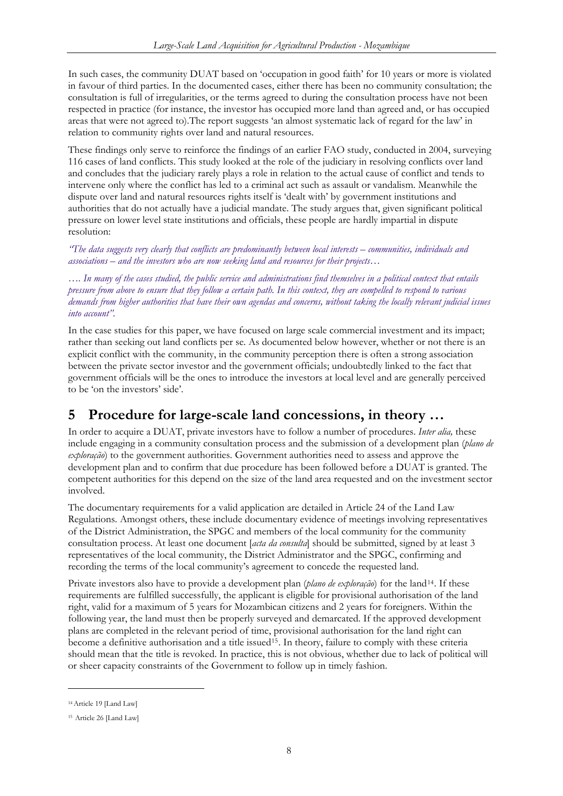<span id="page-8-0"></span>In such cases, the community DUAT based on 'occupation in good faith' for 10 years or more is violated in favour of third parties. In the documented cases, either there has been no community consultation; the consultation is full of irregularities, or the terms agreed to during the consultation process have not been respected in practice (for instance, the investor has occupied more land than agreed and, or has occupied areas that were not agreed to).The report suggests 'an almost systematic lack of regard for the law' in relation to community rights over land and natural resources.

These findings only serve to reinforce the findings of an earlier FAO study, conducted in 2004, surveying 116 cases of land conflicts. This study looked at the role of the judiciary in resolving conflicts over land and concludes that the judiciary rarely plays a role in relation to the actual cause of conflict and tends to intervene only where the conflict has led to a criminal act such as assault or vandalism. Meanwhile the dispute over land and natural resources rights itself is 'dealt with' by government institutions and authorities that do not actually have a judicial mandate. The study argues that, given significant political pressure on lower level state institutions and officials, these people are hardly impartial in dispute resolution:

*"The data suggests very clearly that conflicts are predominantly between local interests – communities, individuals and associations – and the investors who are now seeking land and resources for their projects…* 

*…. In many of the cases studied, the public service and administrations find themselves in a political context that entails pressure from above to ensure that they follow a certain path. In this context, they are compelled to respond to various demands from higher authorities that have their own agendas and concerns, without taking the locally relevant judicial issues into account".* 

In the case studies for this paper, we have focused on large scale commercial investment and its impact; rather than seeking out land conflicts per se. As documented below however, whether or not there is an explicit conflict with the community, in the community perception there is often a strong association between the private sector investor and the government officials; undoubtedly linked to the fact that government officials will be the ones to introduce the investors at local level and are generally perceived to be 'on the investors' side'.

## **5 Procedure for large-scale land concessions, in theory …**

In order to acquire a DUAT, private investors have to follow a number of procedures. *Inter alia,* these include engaging in a community consultation process and the submission of a development plan (*plano de exploração*) to the government authorities. Government authorities need to assess and approve the development plan and to confirm that due procedure has been followed before a DUAT is granted. The competent authorities for this depend on the size of the land area requested and on the investment sector involved.

The documentary requirements for a valid application are detailed in Article 24 of the Land Law Regulations. Amongst others, these include documentary evidence of meetings involving representatives of the District Administration, the SPGC and members of the local community for the community consultation process. At least one document [*acta da consulta*] should be submitted, signed by at least 3 representatives of the local community, the District Administrator and the SPGC, confirming and recording the terms of the local community's agreement to concede the requested land.

Private investors also have to provide a development plan (*plano de exploração*) for the land[14](#page-8-1). If these requirements are fulfilled successfully, the applicant is eligible for provisional authorisation of the land right, valid for a maximum of 5 years for Mozambican citizens and 2 years for foreigners. Within the following year, the land must then be properly surveyed and demarcated. If the approved development plans are completed in the relevant period of time, provisional authorisation for the land right can become a definitive authorisation and a title issued<sup>[15](#page-8-2)</sup>. In theory, failure to comply with these criteria should mean that the title is revoked. In practice, this is not obvious, whether due to lack of political will or sheer capacity constraints of the Government to follow up in timely fashion.

-

<span id="page-8-1"></span><sup>&</sup>lt;sup>14</sup> Article 19 [Land Law]

<span id="page-8-2"></span><sup>&</sup>lt;sup>15</sup> Article 26 [Land Law]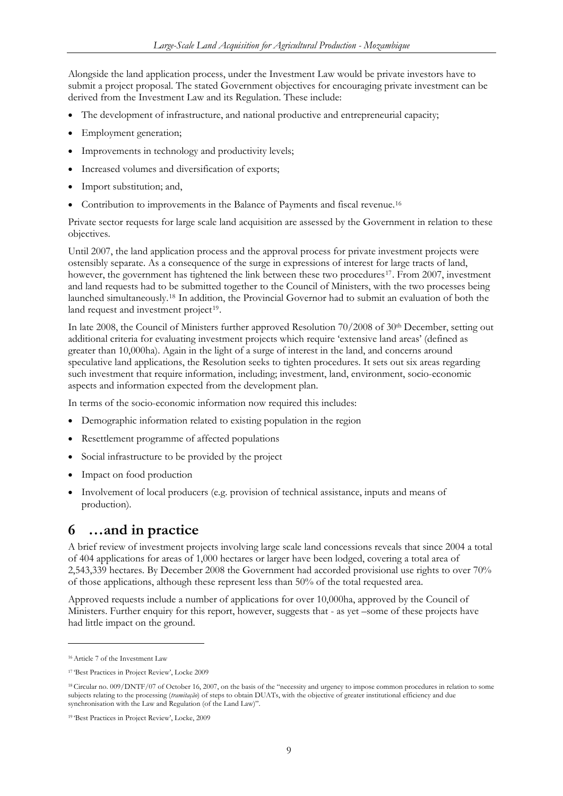<span id="page-9-0"></span>Alongside the land application process, under the Investment Law would be private investors have to submit a project proposal. The stated Government objectives for encouraging private investment can be derived from the Investment Law and its Regulation. These include:

- The development of infrastructure, and national productive and entrepreneurial capacity;
- Employment generation;
- Improvements in technology and productivity levels;
- Increased volumes and diversification of exports;
- Import substitution; and,
- Contribution to improvements in the Balance of Payments and fiscal revenue.<sup>[16](#page-9-1)</sup>

Private sector requests for large scale land acquisition are assessed by the Government in relation to these objectives.

Until 2007, the land application process and the approval process for private investment projects were ostensibly separate. As a consequence of the surge in expressions of interest for large tracts of land, however, the government has tightened the link between these two procedures<sup>[17](#page-9-2)</sup>. From 2007, investment and land requests had to be submitted together to the Council of Ministers, with the two processes being launched simultaneously.[18](#page-9-3) In addition, the Provincial Governor had to submit an evaluation of both the land request and investment project<sup>[19](#page-9-4)</sup>.

In late 2008, the Council of Ministers further approved Resolution 70/2008 of 30<sup>th</sup> December, setting out additional criteria for evaluating investment projects which require 'extensive land areas' (defined as greater than 10,000ha). Again in the light of a surge of interest in the land, and concerns around speculative land applications, the Resolution seeks to tighten procedures. It sets out six areas regarding such investment that require information, including; investment, land, environment, socio-economic aspects and information expected from the development plan.

In terms of the socio-economic information now required this includes:

- Demographic information related to existing population in the region
- Resettlement programme of affected populations
- Social infrastructure to be provided by the project
- Impact on food production
- Involvement of local producers (e.g. provision of technical assistance, inputs and means of production).

## **6 …and in practice**

A brief review of investment projects involving large scale land concessions reveals that since 2004 a total of 404 applications for areas of 1,000 hectares or larger have been lodged, covering a total area of 2,543,339 hectares. By December 2008 the Government had accorded provisional use rights to over 70% of those applications, although these represent less than 50% of the total requested area.

Approved requests include a number of applications for over 10,000ha, approved by the Council of Ministers. Further enquiry for this report, however, suggests that - as yet –some of these projects have had little impact on the ground.

-

<span id="page-9-1"></span><sup>16</sup> Article 7 of the Investment Law

<span id="page-9-2"></span><sup>17 &#</sup>x27;Best Practices in Project Review', Locke 2009

<span id="page-9-3"></span><sup>18</sup> Circular no. 009/DNTF/07 of October 16, 2007, on the basis of the "necessity and urgency to impose common procedures in relation to some subjects relating to the processing (*tramitação*) of steps to obtain DUATs, with the objective of greater institutional efficiency and due synchronisation with the Law and Regulation (of the Land Law)".

<span id="page-9-4"></span><sup>19 &#</sup>x27;Best Practices in Project Review', Locke, 2009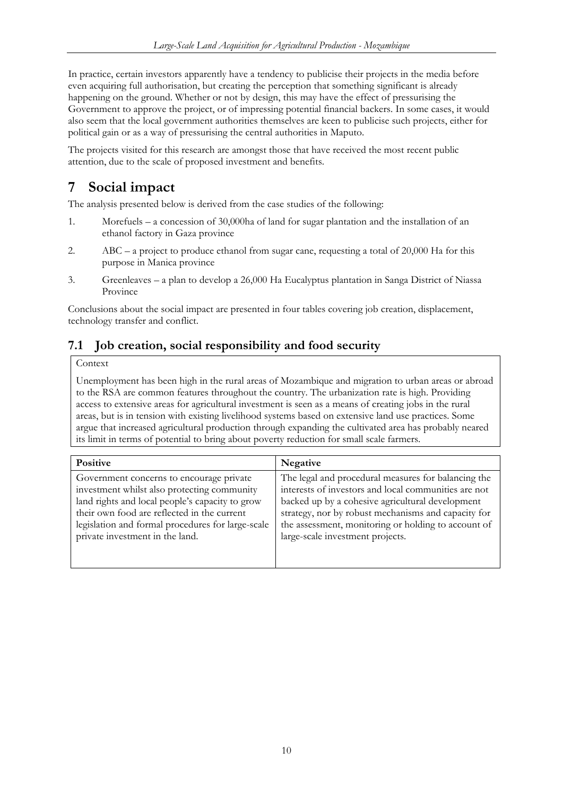<span id="page-10-0"></span>In practice, certain investors apparently have a tendency to publicise their projects in the media before even acquiring full authorisation, but creating the perception that something significant is already happening on the ground. Whether or not by design, this may have the effect of pressurising the Government to approve the project, or of impressing potential financial backers. In some cases, it would also seem that the local government authorities themselves are keen to publicise such projects, either for political gain or as a way of pressurising the central authorities in Maputo.

The projects visited for this research are amongst those that have received the most recent public attention, due to the scale of proposed investment and benefits.

# **7 Social impact**

The analysis presented below is derived from the case studies of the following:

- 1. Morefuels a concession of 30,000ha of land for sugar plantation and the installation of an ethanol factory in Gaza province
- 2. ABC a project to produce ethanol from sugar cane, requesting a total of 20,000 Ha for this purpose in Manica province
- 3. Greenleaves a plan to develop a 26,000 Ha Eucalyptus plantation in Sanga District of Niassa Province

Conclusions about the social impact are presented in four tables covering job creation, displacement, technology transfer and conflict.

### **7.1 Job creation, social responsibility and food security**

### Context

Unemployment has been high in the rural areas of Mozambique and migration to urban areas or abroad to the RSA are common features throughout the country. The urbanization rate is high. Providing access to extensive areas for agricultural investment is seen as a means of creating jobs in the rural areas, but is in tension with existing livelihood systems based on extensive land use practices. Some argue that increased agricultural production through expanding the cultivated area has probably neared its limit in terms of potential to bring about poverty reduction for small scale farmers.

| <b>Positive</b>                                   | <b>Negative</b>                                      |  |
|---------------------------------------------------|------------------------------------------------------|--|
| Government concerns to encourage private          | The legal and procedural measures for balancing the  |  |
| investment whilst also protecting community       | interests of investors and local communities are not |  |
| land rights and local people's capacity to grow   | backed up by a cohesive agricultural development     |  |
| their own food are reflected in the current       | strategy, nor by robust mechanisms and capacity for  |  |
| legislation and formal procedures for large-scale | the assessment, monitoring or holding to account of  |  |
| private investment in the land.                   | large-scale investment projects.                     |  |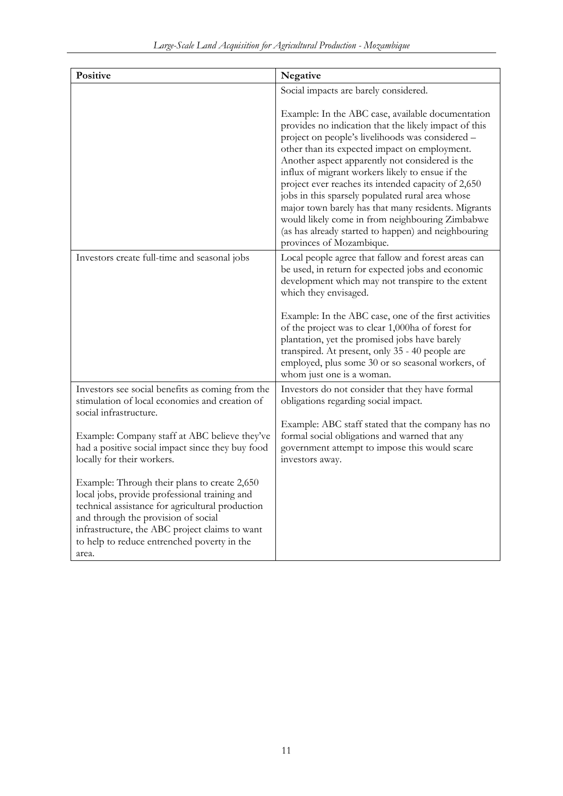| Positive                                                                                                                                                                                                                                                                                           | Negative                                                                                                                                                                                                                                                                                                                                                                                                                                                                                                                                                                                                                       |  |  |
|----------------------------------------------------------------------------------------------------------------------------------------------------------------------------------------------------------------------------------------------------------------------------------------------------|--------------------------------------------------------------------------------------------------------------------------------------------------------------------------------------------------------------------------------------------------------------------------------------------------------------------------------------------------------------------------------------------------------------------------------------------------------------------------------------------------------------------------------------------------------------------------------------------------------------------------------|--|--|
|                                                                                                                                                                                                                                                                                                    | Social impacts are barely considered.                                                                                                                                                                                                                                                                                                                                                                                                                                                                                                                                                                                          |  |  |
|                                                                                                                                                                                                                                                                                                    | Example: In the ABC case, available documentation<br>provides no indication that the likely impact of this<br>project on people's livelihoods was considered -<br>other than its expected impact on employment.<br>Another aspect apparently not considered is the<br>influx of migrant workers likely to ensue if the<br>project ever reaches its intended capacity of 2,650<br>jobs in this sparsely populated rural area whose<br>major town barely has that many residents. Migrants<br>would likely come in from neighbouring Zimbabwe<br>(as has already started to happen) and neighbouring<br>provinces of Mozambique. |  |  |
| Investors create full-time and seasonal jobs                                                                                                                                                                                                                                                       | Local people agree that fallow and forest areas can<br>be used, in return for expected jobs and economic<br>development which may not transpire to the extent<br>which they envisaged.                                                                                                                                                                                                                                                                                                                                                                                                                                         |  |  |
|                                                                                                                                                                                                                                                                                                    | Example: In the ABC case, one of the first activities<br>of the project was to clear 1,000ha of forest for<br>plantation, yet the promised jobs have barely<br>transpired. At present, only 35 - 40 people are<br>employed, plus some 30 or so seasonal workers, of<br>whom just one is a woman.                                                                                                                                                                                                                                                                                                                               |  |  |
| Investors see social benefits as coming from the<br>stimulation of local economies and creation of<br>social infrastructure.                                                                                                                                                                       | Investors do not consider that they have formal<br>obligations regarding social impact.                                                                                                                                                                                                                                                                                                                                                                                                                                                                                                                                        |  |  |
| Example: Company staff at ABC believe they've<br>had a positive social impact since they buy food<br>locally for their workers.                                                                                                                                                                    | Example: ABC staff stated that the company has no<br>formal social obligations and warned that any<br>government attempt to impose this would scare<br>investors away.                                                                                                                                                                                                                                                                                                                                                                                                                                                         |  |  |
| Example: Through their plans to create 2,650<br>local jobs, provide professional training and<br>technical assistance for agricultural production<br>and through the provision of social<br>infrastructure, the ABC project claims to want<br>to help to reduce entrenched poverty in the<br>area. |                                                                                                                                                                                                                                                                                                                                                                                                                                                                                                                                                                                                                                |  |  |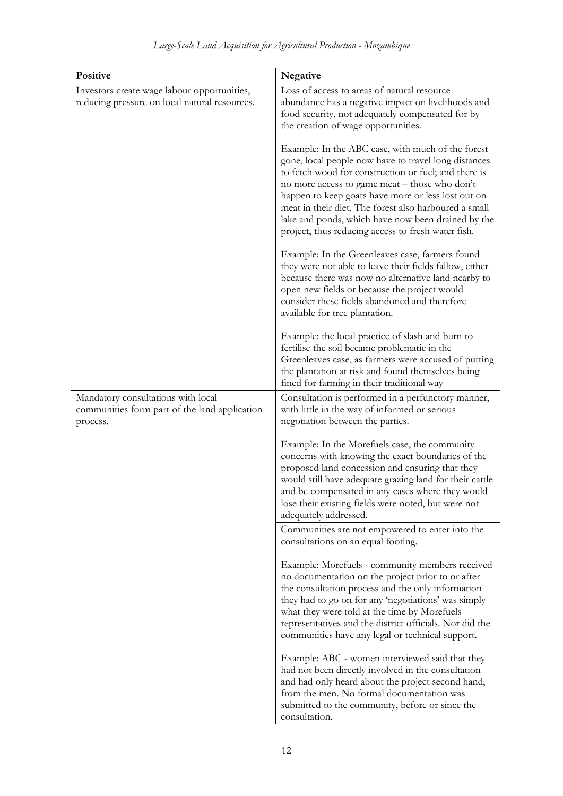| Positive                                                                                        | Negative                                                                                                                                                                                                                                                                                                                                                                                                                                      |  |  |
|-------------------------------------------------------------------------------------------------|-----------------------------------------------------------------------------------------------------------------------------------------------------------------------------------------------------------------------------------------------------------------------------------------------------------------------------------------------------------------------------------------------------------------------------------------------|--|--|
| Investors create wage labour opportunities,<br>reducing pressure on local natural resources.    | Loss of access to areas of natural resource<br>abundance has a negative impact on livelihoods and<br>food security, not adequately compensated for by<br>the creation of wage opportunities.                                                                                                                                                                                                                                                  |  |  |
|                                                                                                 | Example: In the ABC case, with much of the forest<br>gone, local people now have to travel long distances<br>to fetch wood for construction or fuel; and there is<br>no more access to game meat - those who don't<br>happen to keep goats have more or less lost out on<br>meat in their diet. The forest also harboured a small<br>lake and ponds, which have now been drained by the<br>project, thus reducing access to fresh water fish. |  |  |
|                                                                                                 | Example: In the Greenleaves case, farmers found<br>they were not able to leave their fields fallow, either<br>because there was now no alternative land nearby to<br>open new fields or because the project would<br>consider these fields abandoned and therefore<br>available for tree plantation.                                                                                                                                          |  |  |
|                                                                                                 | Example: the local practice of slash and burn to<br>fertilise the soil became problematic in the<br>Greenleaves case, as farmers were accused of putting<br>the plantation at risk and found themselves being<br>fined for farming in their traditional way                                                                                                                                                                                   |  |  |
| Mandatory consultations with local<br>communities form part of the land application<br>process. | Consultation is performed in a perfunctory manner,<br>with little in the way of informed or serious<br>negotiation between the parties.                                                                                                                                                                                                                                                                                                       |  |  |
|                                                                                                 | Example: In the Morefuels case, the community<br>concerns with knowing the exact boundaries of the<br>proposed land concession and ensuring that they<br>would still have adequate grazing land for their cattle<br>and be compensated in any cases where they would<br>lose their existing fields were noted, but were not<br>adequately addressed.                                                                                          |  |  |
|                                                                                                 | Communities are not empowered to enter into the<br>consultations on an equal footing.                                                                                                                                                                                                                                                                                                                                                         |  |  |
|                                                                                                 | Example: Morefuels - community members received<br>no documentation on the project prior to or after<br>the consultation process and the only information<br>they had to go on for any 'negotiations' was simply<br>what they were told at the time by Morefuels<br>representatives and the district officials. Nor did the<br>communities have any legal or technical support.                                                               |  |  |
|                                                                                                 | Example: ABC - women interviewed said that they<br>had not been directly involved in the consultation<br>and had only heard about the project second hand,<br>from the men. No formal documentation was<br>submitted to the community, before or since the<br>consultation.                                                                                                                                                                   |  |  |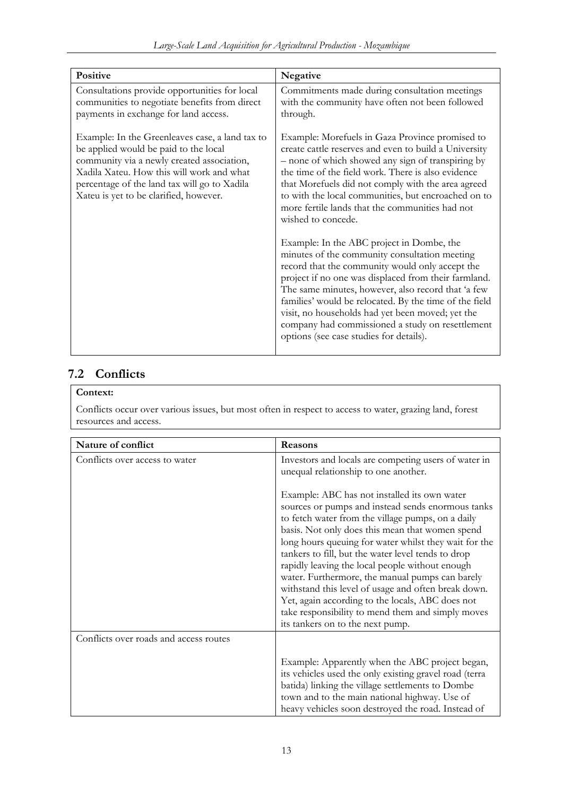<span id="page-13-0"></span>

| Positive                                                                                                                                                                                                                                                                      | Negative                                                                                                                                                                                                                                                                                                                                                                                                                                                                 |  |
|-------------------------------------------------------------------------------------------------------------------------------------------------------------------------------------------------------------------------------------------------------------------------------|--------------------------------------------------------------------------------------------------------------------------------------------------------------------------------------------------------------------------------------------------------------------------------------------------------------------------------------------------------------------------------------------------------------------------------------------------------------------------|--|
| Consultations provide opportunities for local<br>communities to negotiate benefits from direct<br>payments in exchange for land access.                                                                                                                                       | Commitments made during consultation meetings<br>with the community have often not been followed<br>through.                                                                                                                                                                                                                                                                                                                                                             |  |
| Example: In the Greenleaves case, a land tax to<br>be applied would be paid to the local<br>community via a newly created association,<br>Xadila Xateu. How this will work and what<br>percentage of the land tax will go to Xadila<br>Xateu is yet to be clarified, however. | Example: Morefuels in Gaza Province promised to<br>create cattle reserves and even to build a University<br>- none of which showed any sign of transpiring by<br>the time of the field work. There is also evidence<br>that Morefuels did not comply with the area agreed<br>to with the local communities, but encroached on to<br>more fertile lands that the communities had not<br>wished to concede.                                                                |  |
|                                                                                                                                                                                                                                                                               | Example: In the ABC project in Dombe, the<br>minutes of the community consultation meeting<br>record that the community would only accept the<br>project if no one was displaced from their farmland.<br>The same minutes, however, also record that 'a few<br>families' would be relocated. By the time of the field<br>visit, no households had yet been moved; yet the<br>company had commissioned a study on resettlement<br>options (see case studies for details). |  |

### **7.2 Conflicts**

### **Context:**

Conflicts occur over various issues, but most often in respect to access to water, grazing land, forest resources and access.

| Nature of conflict                     | Reasons                                                                                                                                                                                                                                                                                                                                                                                                                                                                                                                                                                                                                            |  |
|----------------------------------------|------------------------------------------------------------------------------------------------------------------------------------------------------------------------------------------------------------------------------------------------------------------------------------------------------------------------------------------------------------------------------------------------------------------------------------------------------------------------------------------------------------------------------------------------------------------------------------------------------------------------------------|--|
| Conflicts over access to water         | Investors and locals are competing users of water in<br>unequal relationship to one another.                                                                                                                                                                                                                                                                                                                                                                                                                                                                                                                                       |  |
|                                        | Example: ABC has not installed its own water<br>sources or pumps and instead sends enormous tanks<br>to fetch water from the village pumps, on a daily<br>basis. Not only does this mean that women spend<br>long hours queuing for water whilst they wait for the<br>tankers to fill, but the water level tends to drop<br>rapidly leaving the local people without enough<br>water. Furthermore, the manual pumps can barely<br>withstand this level of usage and often break down.<br>Yet, again according to the locals, ABC does not<br>take responsibility to mend them and simply moves<br>its tankers on to the next pump. |  |
| Conflicts over roads and access routes |                                                                                                                                                                                                                                                                                                                                                                                                                                                                                                                                                                                                                                    |  |
|                                        | Example: Apparently when the ABC project began,<br>its vehicles used the only existing gravel road (terra<br>batida) linking the village settlements to Dombe<br>town and to the main national highway. Use of<br>heavy vehicles soon destroyed the road. Instead of                                                                                                                                                                                                                                                                                                                                                               |  |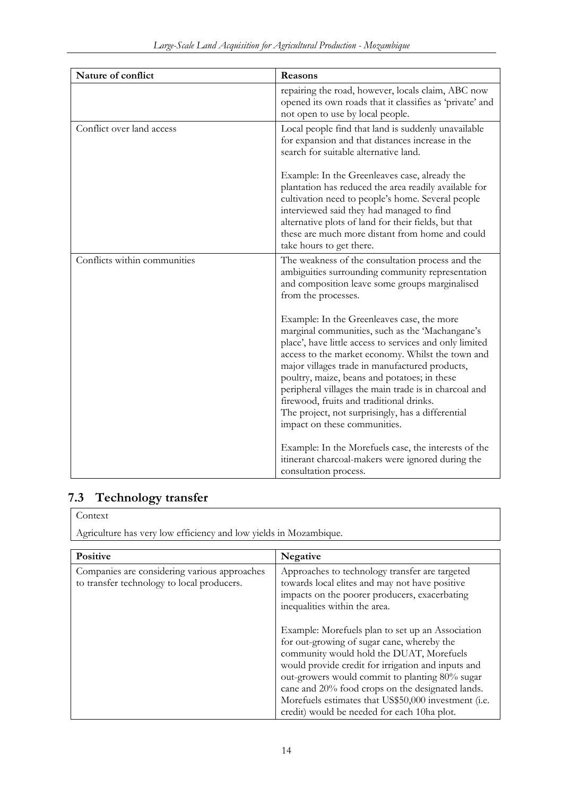<span id="page-14-0"></span>

| Nature of conflict           | Reasons                                                                                                                                                                                                                                                                                                                                                                                                                                                                                                   |  |
|------------------------------|-----------------------------------------------------------------------------------------------------------------------------------------------------------------------------------------------------------------------------------------------------------------------------------------------------------------------------------------------------------------------------------------------------------------------------------------------------------------------------------------------------------|--|
|                              | repairing the road, however, locals claim, ABC now<br>opened its own roads that it classifies as 'private' and<br>not open to use by local people.                                                                                                                                                                                                                                                                                                                                                        |  |
| Conflict over land access    | Local people find that land is suddenly unavailable<br>for expansion and that distances increase in the<br>search for suitable alternative land.                                                                                                                                                                                                                                                                                                                                                          |  |
|                              | Example: In the Greenleaves case, already the<br>plantation has reduced the area readily available for<br>cultivation need to people's home. Several people<br>interviewed said they had managed to find<br>alternative plots of land for their fields, but that<br>these are much more distant from home and could<br>take hours to get there.                                                                                                                                                           |  |
| Conflicts within communities | The weakness of the consultation process and the<br>ambiguities surrounding community representation<br>and composition leave some groups marginalised<br>from the processes.                                                                                                                                                                                                                                                                                                                             |  |
|                              | Example: In the Greenleaves case, the more<br>marginal communities, such as the 'Machangane's<br>place', have little access to services and only limited<br>access to the market economy. Whilst the town and<br>major villages trade in manufactured products,<br>poultry, maize, beans and potatoes; in these<br>peripheral villages the main trade is in charcoal and<br>firewood, fruits and traditional drinks.<br>The project, not surprisingly, has a differential<br>impact on these communities. |  |
|                              | Example: In the Morefuels case, the interests of the<br>itinerant charcoal-makers were ignored during the<br>consultation process.                                                                                                                                                                                                                                                                                                                                                                        |  |

# **7.3 Technology transfer**

### Context

Agriculture has very low efficiency and low yields in Mozambique.

| Positive                                                                                   | <b>Negative</b>                                                                                                                                                                                                                                                                                                                                                                                                                                                                                                                                                                                     |
|--------------------------------------------------------------------------------------------|-----------------------------------------------------------------------------------------------------------------------------------------------------------------------------------------------------------------------------------------------------------------------------------------------------------------------------------------------------------------------------------------------------------------------------------------------------------------------------------------------------------------------------------------------------------------------------------------------------|
| Companies are considering various approaches<br>to transfer technology to local producers. | Approaches to technology transfer are targeted<br>towards local elites and may not have positive<br>impacts on the poorer producers, exacerbating<br>inequalities within the area.<br>Example: Morefuels plan to set up an Association<br>for out-growing of sugar cane, whereby the<br>community would hold the DUAT, Morefuels<br>would provide credit for irrigation and inputs and<br>out-growers would commit to planting 80% sugar<br>cane and 20% food crops on the designated lands.<br>Morefuels estimates that US\$50,000 investment (i.e.<br>credit) would be needed for each 10ha plot. |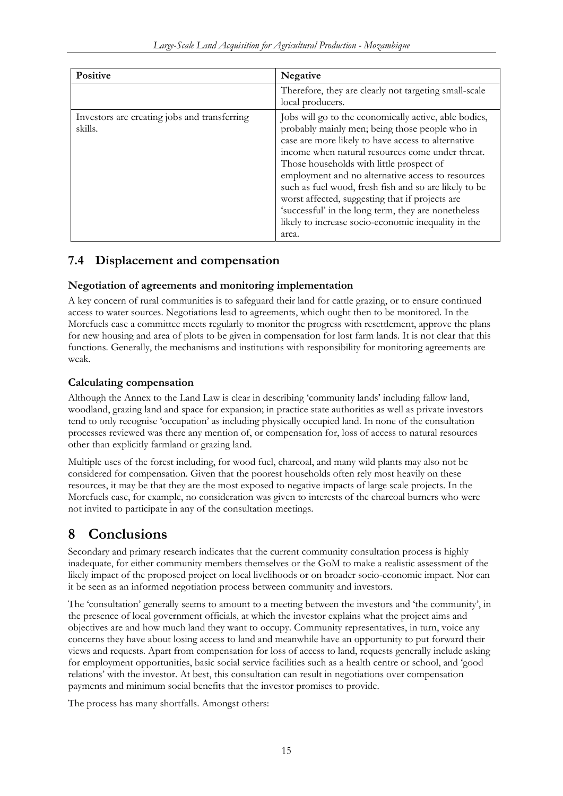<span id="page-15-0"></span>

| <b>Positive</b>                                         | <b>Negative</b>                                                                                                                                                                                                                                                                                                                                                                                                                                                                                                                                       |  |
|---------------------------------------------------------|-------------------------------------------------------------------------------------------------------------------------------------------------------------------------------------------------------------------------------------------------------------------------------------------------------------------------------------------------------------------------------------------------------------------------------------------------------------------------------------------------------------------------------------------------------|--|
|                                                         | Therefore, they are clearly not targeting small-scale<br>local producers.                                                                                                                                                                                                                                                                                                                                                                                                                                                                             |  |
| Investors are creating jobs and transferring<br>skills. | Jobs will go to the economically active, able bodies,<br>probably mainly men; being those people who in<br>case are more likely to have access to alternative<br>income when natural resources come under threat.<br>Those households with little prospect of<br>employment and no alternative access to resources<br>such as fuel wood, fresh fish and so are likely to be<br>worst affected, suggesting that if projects are<br>'successful' in the long term, they are nonetheless<br>likely to increase socio-economic inequality in the<br>area. |  |

### **7.4 Displacement and compensation**

### **Negotiation of agreements and monitoring implementation**

A key concern of rural communities is to safeguard their land for cattle grazing, or to ensure continued access to water sources. Negotiations lead to agreements, which ought then to be monitored. In the Morefuels case a committee meets regularly to monitor the progress with resettlement, approve the plans for new housing and area of plots to be given in compensation for lost farm lands. It is not clear that this functions. Generally, the mechanisms and institutions with responsibility for monitoring agreements are weak.

### **Calculating compensation**

Although the Annex to the Land Law is clear in describing 'community lands' including fallow land, woodland, grazing land and space for expansion; in practice state authorities as well as private investors tend to only recognise 'occupation' as including physically occupied land. In none of the consultation processes reviewed was there any mention of, or compensation for, loss of access to natural resources other than explicitly farmland or grazing land.

Multiple uses of the forest including, for wood fuel, charcoal, and many wild plants may also not be considered for compensation. Given that the poorest households often rely most heavily on these resources, it may be that they are the most exposed to negative impacts of large scale projects. In the Morefuels case, for example, no consideration was given to interests of the charcoal burners who were not invited to participate in any of the consultation meetings.

## **8 Conclusions**

Secondary and primary research indicates that the current community consultation process is highly inadequate, for either community members themselves or the GoM to make a realistic assessment of the likely impact of the proposed project on local livelihoods or on broader socio-economic impact. Nor can it be seen as an informed negotiation process between community and investors.

The 'consultation' generally seems to amount to a meeting between the investors and 'the community', in the presence of local government officials, at which the investor explains what the project aims and objectives are and how much land they want to occupy. Community representatives, in turn, voice any concerns they have about losing access to land and meanwhile have an opportunity to put forward their views and requests. Apart from compensation for loss of access to land, requests generally include asking for employment opportunities, basic social service facilities such as a health centre or school, and 'good relations' with the investor. At best, this consultation can result in negotiations over compensation payments and minimum social benefits that the investor promises to provide.

The process has many shortfalls. Amongst others: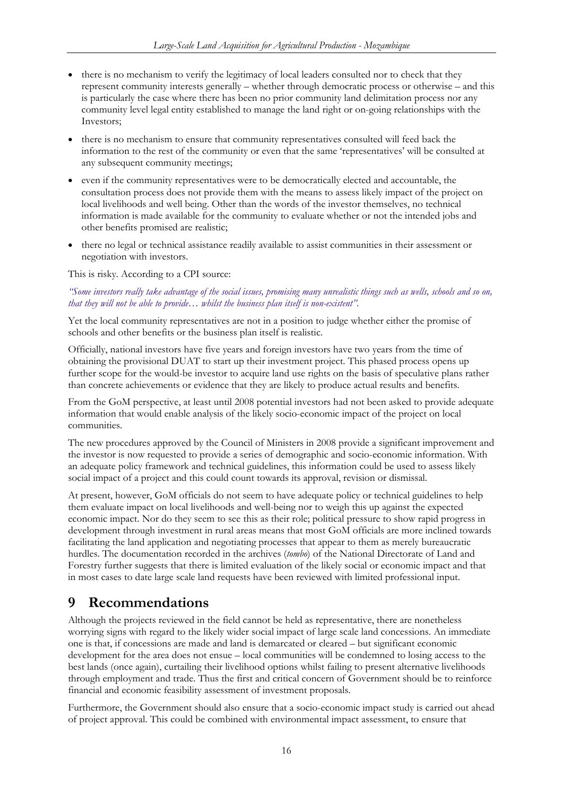- <span id="page-16-0"></span>• there is no mechanism to verify the legitimacy of local leaders consulted nor to check that they represent community interests generally – whether through democratic process or otherwise – and this is particularly the case where there has been no prior community land delimitation process nor any community level legal entity established to manage the land right or on-going relationships with the Investors;
- there is no mechanism to ensure that community representatives consulted will feed back the information to the rest of the community or even that the same 'representatives' will be consulted at any subsequent community meetings;
- even if the community representatives were to be democratically elected and accountable, the consultation process does not provide them with the means to assess likely impact of the project on local livelihoods and well being. Other than the words of the investor themselves, no technical information is made available for the community to evaluate whether or not the intended jobs and other benefits promised are realistic;
- there no legal or technical assistance readily available to assist communities in their assessment or negotiation with investors.

This is risky. According to a CPI source:

#### *"Some investors really take advantage of the social issues, promising many unrealistic things such as wells, schools and so on, that they will not be able to provide… whilst the business plan itself is non-existent".*

Yet the local community representatives are not in a position to judge whether either the promise of schools and other benefits or the business plan itself is realistic.

Officially, national investors have five years and foreign investors have two years from the time of obtaining the provisional DUAT to start up their investment project. This phased process opens up further scope for the would-be investor to acquire land use rights on the basis of speculative plans rather than concrete achievements or evidence that they are likely to produce actual results and benefits.

From the GoM perspective, at least until 2008 potential investors had not been asked to provide adequate information that would enable analysis of the likely socio-economic impact of the project on local communities.

The new procedures approved by the Council of Ministers in 2008 provide a significant improvement and the investor is now requested to provide a series of demographic and socio-economic information. With an adequate policy framework and technical guidelines, this information could be used to assess likely social impact of a project and this could count towards its approval, revision or dismissal.

At present, however, GoM officials do not seem to have adequate policy or technical guidelines to help them evaluate impact on local livelihoods and well-being nor to weigh this up against the expected economic impact. Nor do they seem to see this as their role; political pressure to show rapid progress in development through investment in rural areas means that most GoM officials are more inclined towards facilitating the land application and negotiating processes that appear to them as merely bureaucratic hurdles. The documentation recorded in the archives (*tombo*) of the National Directorate of Land and Forestry further suggests that there is limited evaluation of the likely social or economic impact and that in most cases to date large scale land requests have been reviewed with limited professional input.

## **9 Recommendations**

Although the projects reviewed in the field cannot be held as representative, there are nonetheless worrying signs with regard to the likely wider social impact of large scale land concessions. An immediate one is that, if concessions are made and land is demarcated or cleared – but significant economic development for the area does not ensue – local communities will be condemned to losing access to the best lands (once again), curtailing their livelihood options whilst failing to present alternative livelihoods through employment and trade. Thus the first and critical concern of Government should be to reinforce financial and economic feasibility assessment of investment proposals.

Furthermore, the Government should also ensure that a socio-economic impact study is carried out ahead of project approval. This could be combined with environmental impact assessment, to ensure that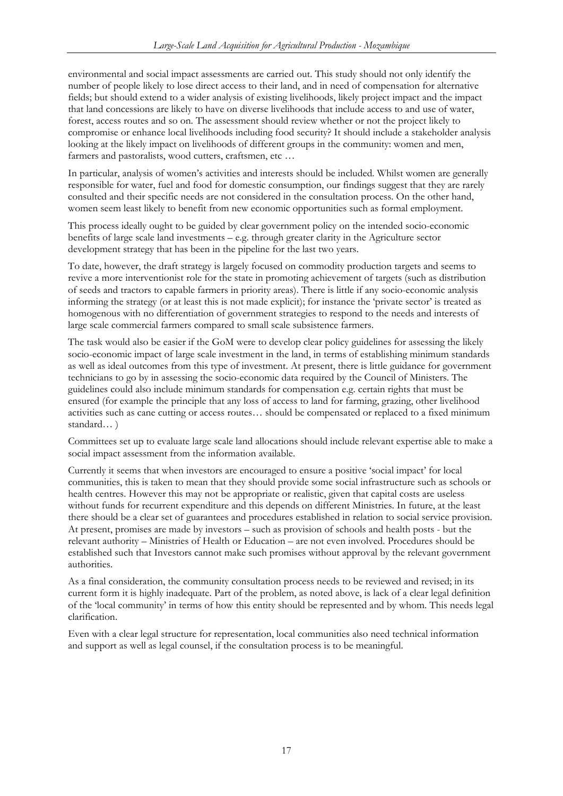environmental and social impact assessments are carried out. This study should not only identify the number of people likely to lose direct access to their land, and in need of compensation for alternative fields; but should extend to a wider analysis of existing livelihoods, likely project impact and the impact that land concessions are likely to have on diverse livelihoods that include access to and use of water, forest, access routes and so on. The assessment should review whether or not the project likely to compromise or enhance local livelihoods including food security? It should include a stakeholder analysis looking at the likely impact on livelihoods of different groups in the community: women and men, farmers and pastoralists, wood cutters, craftsmen, etc …

In particular, analysis of women's activities and interests should be included. Whilst women are generally responsible for water, fuel and food for domestic consumption, our findings suggest that they are rarely consulted and their specific needs are not considered in the consultation process. On the other hand, women seem least likely to benefit from new economic opportunities such as formal employment.

This process ideally ought to be guided by clear government policy on the intended socio-economic benefits of large scale land investments – e.g. through greater clarity in the Agriculture sector development strategy that has been in the pipeline for the last two years.

To date, however, the draft strategy is largely focused on commodity production targets and seems to revive a more interventionist role for the state in promoting achievement of targets (such as distribution of seeds and tractors to capable farmers in priority areas). There is little if any socio-economic analysis informing the strategy (or at least this is not made explicit); for instance the 'private sector' is treated as homogenous with no differentiation of government strategies to respond to the needs and interests of large scale commercial farmers compared to small scale subsistence farmers.

The task would also be easier if the GoM were to develop clear policy guidelines for assessing the likely socio-economic impact of large scale investment in the land, in terms of establishing minimum standards as well as ideal outcomes from this type of investment. At present, there is little guidance for government technicians to go by in assessing the socio-economic data required by the Council of Ministers. The guidelines could also include minimum standards for compensation e.g. certain rights that must be ensured (for example the principle that any loss of access to land for farming, grazing, other livelihood activities such as cane cutting or access routes… should be compensated or replaced to a fixed minimum standard… )

Committees set up to evaluate large scale land allocations should include relevant expertise able to make a social impact assessment from the information available.

Currently it seems that when investors are encouraged to ensure a positive 'social impact' for local communities, this is taken to mean that they should provide some social infrastructure such as schools or health centres. However this may not be appropriate or realistic, given that capital costs are useless without funds for recurrent expenditure and this depends on different Ministries. In future, at the least there should be a clear set of guarantees and procedures established in relation to social service provision. At present, promises are made by investors – such as provision of schools and health posts - but the relevant authority – Ministries of Health or Education – are not even involved. Procedures should be established such that Investors cannot make such promises without approval by the relevant government authorities.

As a final consideration, the community consultation process needs to be reviewed and revised; in its current form it is highly inadequate. Part of the problem, as noted above, is lack of a clear legal definition of the 'local community' in terms of how this entity should be represented and by whom. This needs legal clarification.

Even with a clear legal structure for representation, local communities also need technical information and support as well as legal counsel, if the consultation process is to be meaningful.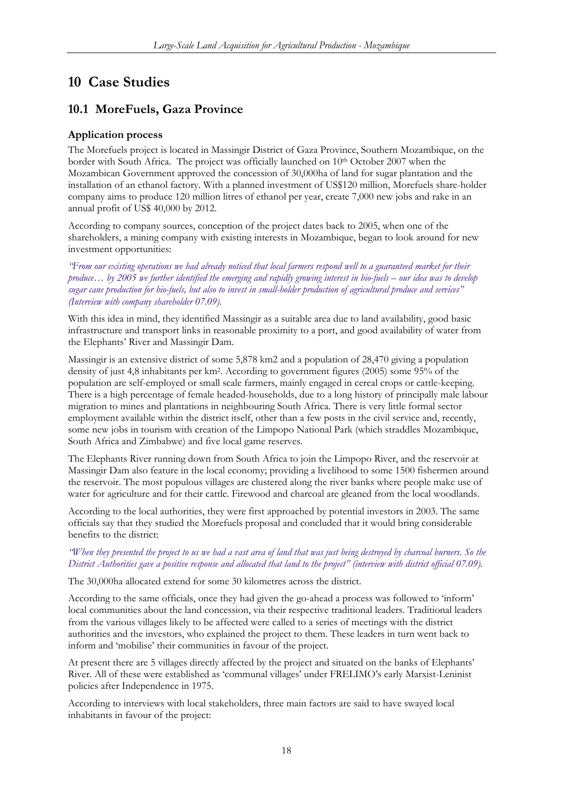# <span id="page-18-0"></span>**10 Case Studies**

### **10.1 MoreFuels, Gaza Province**

### **Application process**

The Morefuels project is located in Massingir District of Gaza Province, Southern Mozambique, on the border with South Africa. The project was officially launched on 10th October 2007 when the Mozambican Government approved the concession of 30,000ha of land for sugar plantation and the installation of an ethanol factory. With a planned investment of US\$120 million, Morefuels share-holder company aims to produce 120 million litres of ethanol per year, create 7,000 new jobs and rake in an annual profit of US\$ 40,000 by 2012.

According to company sources, conception of the project dates back to 2005, when one of the shareholders, a mining company with existing interests in Mozambique, began to look around for new investment opportunities:

*"From our existing operations we had already noticed that local farmers respond well to a guaranteed market for their produce… by 2005 we further identified the emerging and rapidly growing interest in bio-fuels – our idea was to develop sugar cane production for bio-fuels, but also to invest in small-holder production of agricultural produce and services" (Interview with company shareholder 07.09).* 

With this idea in mind, they identified Massingir as a suitable area due to land availability, good basic infrastructure and transport links in reasonable proximity to a port, and good availability of water from the Elephants' River and Massingir Dam.

Massingir is an extensive district of some 5,878 km2 and a population of 28,470 giving a population density of just 4,8 inhabitants per km2. According to government figures (2005) some 95% of the population are self-employed or small scale farmers, mainly engaged in cereal crops or cattle-keeping. There is a high percentage of female headed-households, due to a long history of principally male labour migration to mines and plantations in neighbouring South Africa. There is very little formal sector employment available within the district itself, other than a few posts in the civil service and, recently, some new jobs in tourism with creation of the Limpopo National Park (which straddles Mozambique, South Africa and Zimbabwe) and five local game reserves.

The Elephants River running down from South Africa to join the Limpopo River, and the reservoir at Massingir Dam also feature in the local economy; providing a livelihood to some 1500 fishermen around the reservoir. The most populous villages are clustered along the river banks where people make use of water for agriculture and for their cattle. Firewood and charcoal are gleaned from the local woodlands.

According to the local authorities, they were first approached by potential investors in 2003. The same officials say that they studied the Morefuels proposal and concluded that it would bring considerable benefits to the district:

#### *"When they presented the project to us we had a vast area of land that was just being destroyed by charcoal burners. So the District Authorities gave a positive response and allocated that land to the project" (interview with district official 07.09).*

The 30,000ha allocated extend for some 30 kilometres across the district.

According to the same officials, once they had given the go-ahead a process was followed to 'inform' local communities about the land concession, via their respective traditional leaders. Traditional leaders from the various villages likely to be affected were called to a series of meetings with the district authorities and the investors, who explained the project to them. These leaders in turn went back to inform and 'mobilise' their communities in favour of the project.

At present there are 5 villages directly affected by the project and situated on the banks of Elephants' River. All of these were established as 'communal villages' under FRELIMO's early Marxist-Leninist policies after Independence in 1975.

According to interviews with local stakeholders, three main factors are said to have swayed local inhabitants in favour of the project: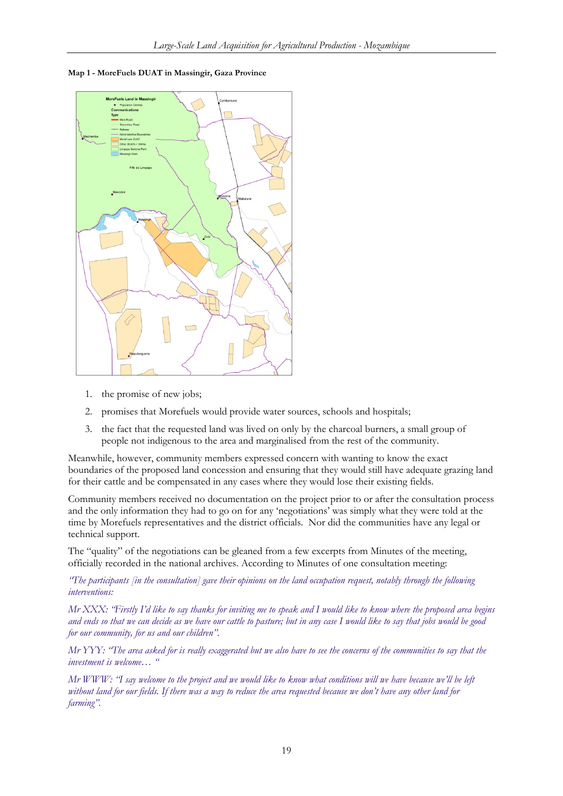**Map 1 - MoreFuels DUAT in Massingir, Gaza Province** 



- 1. the promise of new jobs;
- 2. promises that Morefuels would provide water sources, schools and hospitals;
- 3. the fact that the requested land was lived on only by the charcoal burners, a small group of people not indigenous to the area and marginalised from the rest of the community.

Meanwhile, however, community members expressed concern with wanting to know the exact boundaries of the proposed land concession and ensuring that they would still have adequate grazing land for their cattle and be compensated in any cases where they would lose their existing fields.

Community members received no documentation on the project prior to or after the consultation process and the only information they had to go on for any 'negotiations' was simply what they were told at the time by Morefuels representatives and the district officials. Nor did the communities have any legal or technical support.

The "quality" of the negotiations can be gleaned from a few excerpts from Minutes of the meeting, officially recorded in the national archives. According to Minutes of one consultation meeting:

*"The participants [in the consultation] gave their opinions on the land occupation request, notably through the following interventions:* 

*Mr XXX: "Firstly I'd like to say thanks for inviting me to speak and I would like to know where the proposed area begins and ends so that we can decide as we have our cattle to pasture; but in any case I would like to say that jobs would be good for our community, for us and our children".* 

*Mr YYY: "The area asked for is really exaggerated but we also have to see the concerns of the communities to say that the investment is welcome… "* 

*Mr WWW: "I say welcome to the project and we would like to know what conditions will we have because we'll be left without land for our fields. If there was a way to reduce the area requested because we don't have any other land for farming".*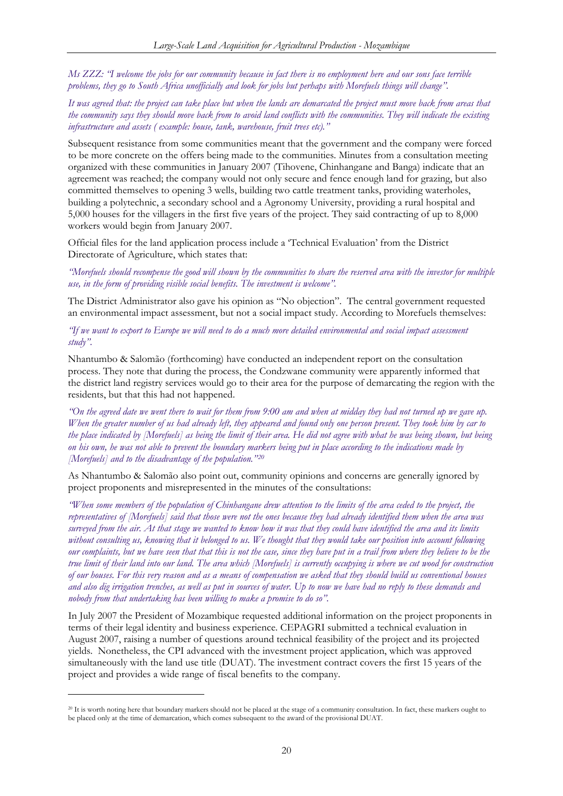*Ms ZZZ: "I welcome the jobs for our community because in fact there is no employment here and our sons face terrible problems, they go to South Africa unofficially and look for jobs but perhaps with Morefuels things will change".* 

*It was agreed that: the project can take place but when the lands are demarcated the project must move back from areas that the community says they should move back from to avoid land conflicts with the communities. They will indicate the existing infrastructure and assets ( example: house, tank, warehouse, fruit trees etc)."* 

Subsequent resistance from some communities meant that the government and the company were forced to be more concrete on the offers being made to the communities. Minutes from a consultation meeting organized with these communities in January 2007 (Tihovene, Chinhangane and Banga) indicate that an agreement was reached; the company would not only secure and fence enough land for grazing, but also committed themselves to opening 3 wells, building two cattle treatment tanks, providing waterholes, building a polytechnic, a secondary school and a Agronomy University, providing a rural hospital and 5,000 houses for the villagers in the first five years of the project. They said contracting of up to 8,000 workers would begin from January 2007.

Official files for the land application process include a 'Technical Evaluation' from the District Directorate of Agriculture, which states that:

*"Morefuels should recompense the good will shown by the communities to share the reserved area with the investor for multiple use, in the form of providing visible social benefits. The investment is welcome".* 

The District Administrator also gave his opinion as "No objection". The central government requested an environmental impact assessment, but not a social impact study. According to Morefuels themselves:

*"If we want to export to Europe we will need to do a much more detailed environmental and social impact assessment study".* 

Nhantumbo & Salomão (forthcoming) have conducted an independent report on the consultation process. They note that during the process, the Condzwane community were apparently informed that the district land registry services would go to their area for the purpose of demarcating the region with the residents, but that this had not happened.

*"On the agreed date we went there to wait for them from 9:00 am and when at midday they had not turned up we gave up. When the greater number of us had already left, they appeared and found only one person present. They took him by car to the place indicated by [Morefuels] as being the limit of their area. He did not agree with what he was being shown, but being on his own, he was not able to prevent the boundary markers being put in place according to the indications made by [Morefuels] and to the disadvantage of the population."[20](#page-20-0)*

As Nhantumbo & Salomão also point out, community opinions and concerns are generally ignored by project proponents and misrepresented in the minutes of the consultations:

*"When some members of the population of Chinhangane drew attention to the limits of the area ceded to the project, the representatives of [Morefuels] said that those were not the ones because they had already identified them when the area was surveyed from the air. At that stage we wanted to know how it was that they could have identified the area and its limits without consulting us, knowing that it belonged to us. We thought that they would take our position into account following our complaints, but we have seen that that this is not the case, since they have put in a trail from where they believe to be the true limit of their land into our land. The area which [Morefuels] is currently occupying is where we cut wood for construction of our houses. For this very reason and as a means of compensation we asked that they should build us conventional houses and also dig irrigation trenches, as well as put in sources of water. Up to now we have had no reply to these demands and nobody from that undertaking has been willing to make a promise to do so".* 

In July 2007 the President of Mozambique requested additional information on the project proponents in terms of their legal identity and business experience. CEPAGRI submitted a technical evaluation in August 2007, raising a number of questions around technical feasibility of the project and its projected yields. Nonetheless, the CPI advanced with the investment project application, which was approved simultaneously with the land use title (DUAT). The investment contract covers the first 15 years of the project and provides a wide range of fiscal benefits to the company.

-

<span id="page-20-0"></span><sup>20</sup> It is worth noting here that boundary markers should not be placed at the stage of a community consultation. In fact, these markers ought to be placed only at the time of demarcation, which comes subsequent to the award of the provisional DUAT.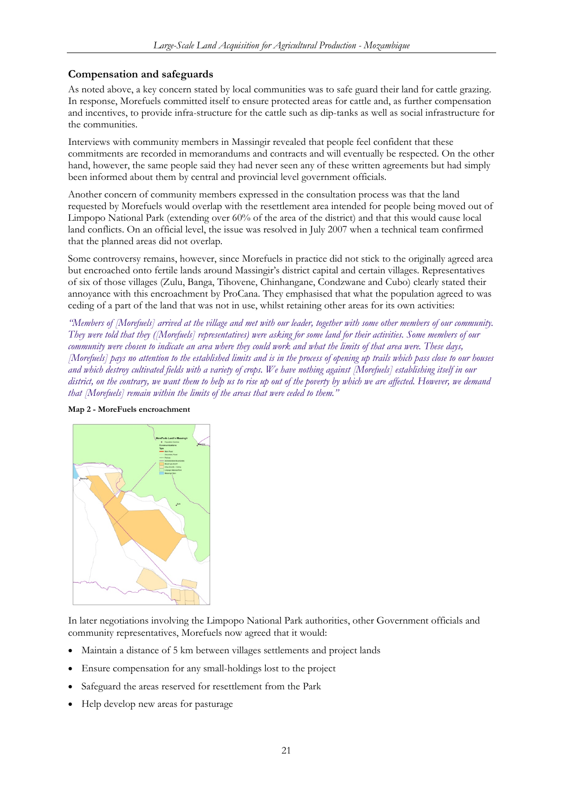### <span id="page-21-0"></span>**Compensation and safeguards**

As noted above, a key concern stated by local communities was to safe guard their land for cattle grazing. In response, Morefuels committed itself to ensure protected areas for cattle and, as further compensation and incentives, to provide infra-structure for the cattle such as dip-tanks as well as social infrastructure for the communities.

Interviews with community members in Massingir revealed that people feel confident that these commitments are recorded in memorandums and contracts and will eventually be respected. On the other hand, however, the same people said they had never seen any of these written agreements but had simply been informed about them by central and provincial level government officials.

Another concern of community members expressed in the consultation process was that the land requested by Morefuels would overlap with the resettlement area intended for people being moved out of Limpopo National Park (extending over 60% of the area of the district) and that this would cause local land conflicts. On an official level, the issue was resolved in July 2007 when a technical team confirmed that the planned areas did not overlap.

Some controversy remains, however, since Morefuels in practice did not stick to the originally agreed area but encroached onto fertile lands around Massingir's district capital and certain villages. Representatives of six of those villages (Zulu, Banga, Tihovene, Chinhangane, Condzwane and Cubo) clearly stated their annoyance with this encroachment by ProCana. They emphasised that what the population agreed to was ceding of a part of the land that was not in use, whilst retaining other areas for its own activities:

*"Members of [Morefuels] arrived at the village and met with our leader, together with some other members of our community. They were told that they ([Morefuels] representatives) were asking for some land for their activities. Some members of our community were chosen to indicate an area where they could work and what the limits of that area were. These days, [Morefuels] pays no attention to the established limits and is in the process of opening up trails which pass close to our houses and which destroy cultivated fields with a variety of crops. We have nothing against [Morefuels] establishing itself in our district, on the contrary, we want them to help us to rise up out of the poverty by which we are affected. However, we demand that [Morefuels] remain within the limits of the areas that were ceded to them."* 



#### **Map 2 - MoreFuels encroachment**

In later negotiations involving the Limpopo National Park authorities, other Government officials and community representatives, Morefuels now agreed that it would:

- Maintain a distance of 5 km between villages settlements and project lands
- Ensure compensation for any small-holdings lost to the project
- Safeguard the areas reserved for resettlement from the Park
- Help develop new areas for pasturage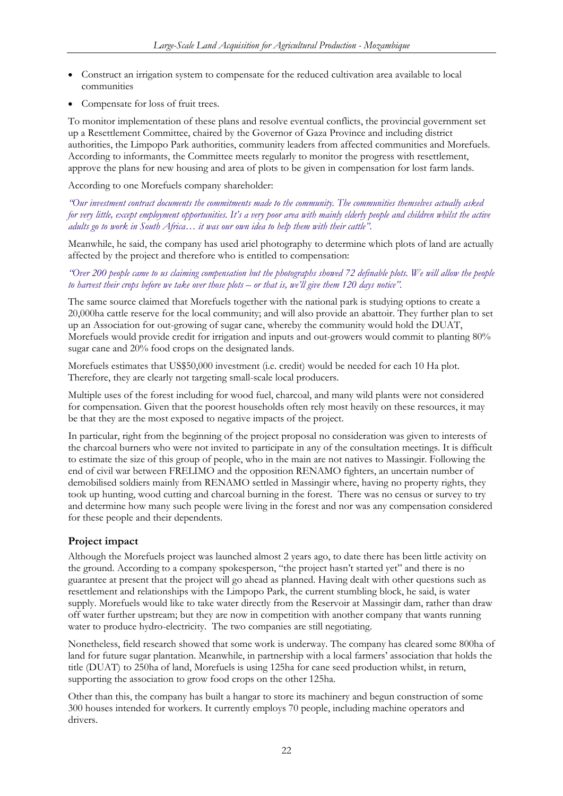- <span id="page-22-0"></span>• Construct an irrigation system to compensate for the reduced cultivation area available to local communities
- Compensate for loss of fruit trees.

To monitor implementation of these plans and resolve eventual conflicts, the provincial government set up a Resettlement Committee, chaired by the Governor of Gaza Province and including district authorities, the Limpopo Park authorities, community leaders from affected communities and Morefuels. According to informants, the Committee meets regularly to monitor the progress with resettlement, approve the plans for new housing and area of plots to be given in compensation for lost farm lands.

According to one Morefuels company shareholder:

*"Our investment contract documents the commitments made to the community. The communities themselves actually asked for very little, except employment opportunities. It's a very poor area with mainly elderly people and children whilst the active adults go to work in South Africa… it was our own idea to help them with their cattle".* 

Meanwhile, he said, the company has used ariel photography to determine which plots of land are actually affected by the project and therefore who is entitled to compensation:

#### *"Over 200 people came to us claiming compensation but the photographs showed 72 definable plots. We will allow the people to harvest their crops before we take over those plots – or that is, we'll give them 120 days notice".*

The same source claimed that Morefuels together with the national park is studying options to create a 20,000ha cattle reserve for the local community; and will also provide an abattoir. They further plan to set up an Association for out-growing of sugar cane, whereby the community would hold the DUAT, Morefuels would provide credit for irrigation and inputs and out-growers would commit to planting 80% sugar cane and 20% food crops on the designated lands.

Morefuels estimates that US\$50,000 investment (i.e. credit) would be needed for each 10 Ha plot. Therefore, they are clearly not targeting small-scale local producers.

Multiple uses of the forest including for wood fuel, charcoal, and many wild plants were not considered for compensation. Given that the poorest households often rely most heavily on these resources, it may be that they are the most exposed to negative impacts of the project.

In particular, right from the beginning of the project proposal no consideration was given to interests of the charcoal burners who were not invited to participate in any of the consultation meetings. It is difficult to estimate the size of this group of people, who in the main are not natives to Massingir. Following the end of civil war between FRELIMO and the opposition RENAMO fighters, an uncertain number of demobilised soldiers mainly from RENAMO settled in Massingir where, having no property rights, they took up hunting, wood cutting and charcoal burning in the forest. There was no census or survey to try and determine how many such people were living in the forest and nor was any compensation considered for these people and their dependents.

### **Project impact**

Although the Morefuels project was launched almost 2 years ago, to date there has been little activity on the ground. According to a company spokesperson, "the project hasn't started yet" and there is no guarantee at present that the project will go ahead as planned. Having dealt with other questions such as resettlement and relationships with the Limpopo Park, the current stumbling block, he said, is water supply. Morefuels would like to take water directly from the Reservoir at Massingir dam, rather than draw off water further upstream; but they are now in competition with another company that wants running water to produce hydro-electricity. The two companies are still negotiating.

Nonetheless, field research showed that some work is underway. The company has cleared some 800ha of land for future sugar plantation. Meanwhile, in partnership with a local farmers' association that holds the title (DUAT) to 250ha of land, Morefuels is using 125ha for cane seed production whilst, in return, supporting the association to grow food crops on the other 125ha.

Other than this, the company has built a hangar to store its machinery and begun construction of some 300 houses intended for workers. It currently employs 70 people, including machine operators and drivers.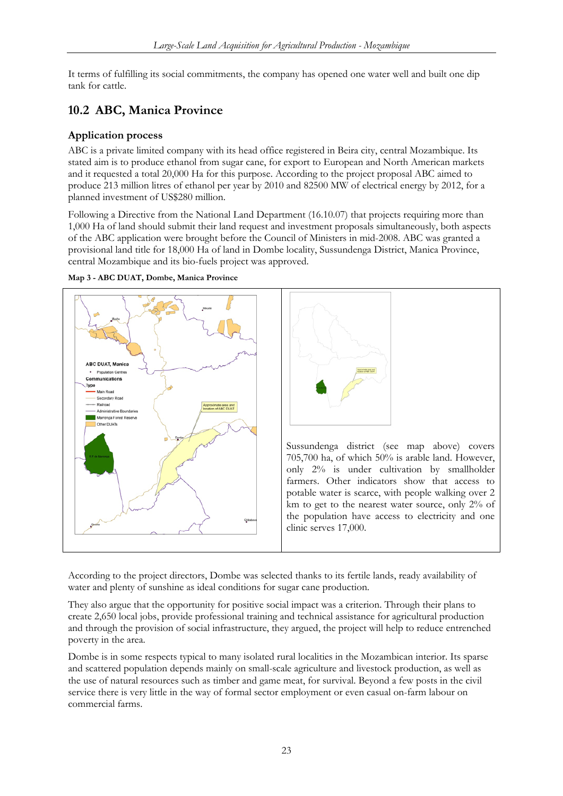<span id="page-23-0"></span>It terms of fulfilling its social commitments, the company has opened one water well and built one dip tank for cattle.

### **10.2 ABC, Manica Province**

### **Application process**

ABC is a private limited company with its head office registered in Beira city, central Mozambique. Its stated aim is to produce ethanol from sugar cane, for export to European and North American markets and it requested a total 20,000 Ha for this purpose. According to the project proposal ABC aimed to produce 213 million litres of ethanol per year by 2010 and 82500 MW of electrical energy by 2012, for a planned investment of US\$280 million.

Following a Directive from the National Land Department (16.10.07) that projects requiring more than 1,000 Ha of land should submit their land request and investment proposals simultaneously, both aspects of the ABC application were brought before the Council of Ministers in mid-2008. ABC was granted a provisional land title for 18,000 Ha of land in Dombe locality, Sussundenga District, Manica Province, central Mozambique and its bio-fuels project was approved.







Sussundenga district (see map above) covers 705,700 ha, of which 50% is arable land. However, only 2% is under cultivation by smallholder farmers. Other indicators show that access to potable water is scarce, with people walking over 2 km to get to the nearest water source, only 2% of the population have access to electricity and one clinic serves 17,000.

According to the project directors, Dombe was selected thanks to its fertile lands, ready availability of water and plenty of sunshine as ideal conditions for sugar cane production.

They also argue that the opportunity for positive social impact was a criterion. Through their plans to create 2,650 local jobs, provide professional training and technical assistance for agricultural production and through the provision of social infrastructure, they argued, the project will help to reduce entrenched poverty in the area.

Dombe is in some respects typical to many isolated rural localities in the Mozambican interior. Its sparse and scattered population depends mainly on small-scale agriculture and livestock production, as well as the use of natural resources such as timber and game meat, for survival. Beyond a few posts in the civil service there is very little in the way of formal sector employment or even casual on-farm labour on commercial farms.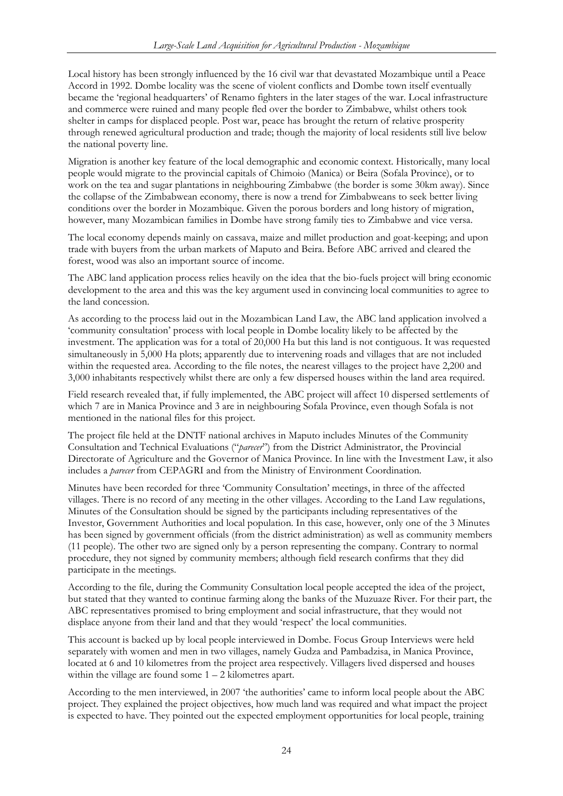Local history has been strongly influenced by the 16 civil war that devastated Mozambique until a Peace Accord in 1992. Dombe locality was the scene of violent conflicts and Dombe town itself eventually became the 'regional headquarters' of Renamo fighters in the later stages of the war. Local infrastructure and commerce were ruined and many people fled over the border to Zimbabwe, whilst others took shelter in camps for displaced people. Post war, peace has brought the return of relative prosperity through renewed agricultural production and trade; though the majority of local residents still live below the national poverty line.

Migration is another key feature of the local demographic and economic context. Historically, many local people would migrate to the provincial capitals of Chimoio (Manica) or Beira (Sofala Province), or to work on the tea and sugar plantations in neighbouring Zimbabwe (the border is some 30km away). Since the collapse of the Zimbabwean economy, there is now a trend for Zimbabweans to seek better living conditions over the border in Mozambique. Given the porous borders and long history of migration, however, many Mozambican families in Dombe have strong family ties to Zimbabwe and vice versa.

The local economy depends mainly on cassava, maize and millet production and goat-keeping; and upon trade with buyers from the urban markets of Maputo and Beira. Before ABC arrived and cleared the forest, wood was also an important source of income.

The ABC land application process relies heavily on the idea that the bio-fuels project will bring economic development to the area and this was the key argument used in convincing local communities to agree to the land concession.

As according to the process laid out in the Mozambican Land Law, the ABC land application involved a 'community consultation' process with local people in Dombe locality likely to be affected by the investment. The application was for a total of 20,000 Ha but this land is not contiguous. It was requested simultaneously in 5,000 Ha plots; apparently due to intervening roads and villages that are not included within the requested area. According to the file notes, the nearest villages to the project have 2,200 and 3,000 inhabitants respectively whilst there are only a few dispersed houses within the land area required.

Field research revealed that, if fully implemented, the ABC project will affect 10 dispersed settlements of which 7 are in Manica Province and 3 are in neighbouring Sofala Province, even though Sofala is not mentioned in the national files for this project.

The project file held at the DNTF national archives in Maputo includes Minutes of the Community Consultation and Technical Evaluations ("*parecer*") from the District Administrator, the Provincial Directorate of Agriculture and the Governor of Manica Province. In line with the Investment Law, it also includes a *parecer* from CEPAGRI and from the Ministry of Environment Coordination.

Minutes have been recorded for three 'Community Consultation' meetings, in three of the affected villages. There is no record of any meeting in the other villages. According to the Land Law regulations, Minutes of the Consultation should be signed by the participants including representatives of the Investor, Government Authorities and local population. In this case, however, only one of the 3 Minutes has been signed by government officials (from the district administration) as well as community members (11 people). The other two are signed only by a person representing the company. Contrary to normal procedure, they not signed by community members; although field research confirms that they did participate in the meetings.

According to the file, during the Community Consultation local people accepted the idea of the project, but stated that they wanted to continue farming along the banks of the Muzuaze River. For their part, the ABC representatives promised to bring employment and social infrastructure, that they would not displace anyone from their land and that they would 'respect' the local communities.

This account is backed up by local people interviewed in Dombe. Focus Group Interviews were held separately with women and men in two villages, namely Gudza and Pambadzisa, in Manica Province, located at 6 and 10 kilometres from the project area respectively. Villagers lived dispersed and houses within the village are found some  $1 - 2$  kilometres apart.

According to the men interviewed, in 2007 'the authorities' came to inform local people about the ABC project. They explained the project objectives, how much land was required and what impact the project is expected to have. They pointed out the expected employment opportunities for local people, training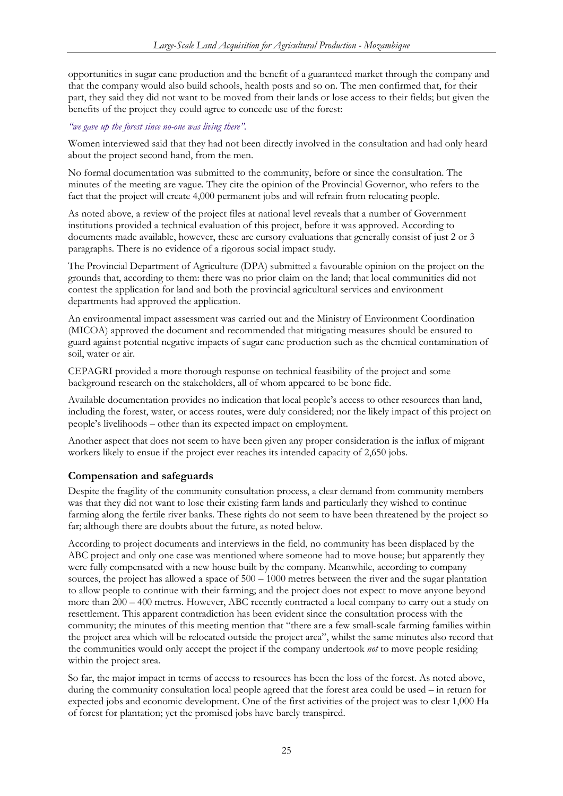<span id="page-25-0"></span>opportunities in sugar cane production and the benefit of a guaranteed market through the company and that the company would also build schools, health posts and so on. The men confirmed that, for their part, they said they did not want to be moved from their lands or lose access to their fields; but given the benefits of the project they could agree to concede use of the forest:

#### *"we gave up the forest since no-one was living there".*

Women interviewed said that they had not been directly involved in the consultation and had only heard about the project second hand, from the men.

No formal documentation was submitted to the community, before or since the consultation. The minutes of the meeting are vague. They cite the opinion of the Provincial Governor, who refers to the fact that the project will create 4,000 permanent jobs and will refrain from relocating people.

As noted above, a review of the project files at national level reveals that a number of Government institutions provided a technical evaluation of this project, before it was approved. According to documents made available, however, these are cursory evaluations that generally consist of just 2 or 3 paragraphs. There is no evidence of a rigorous social impact study.

The Provincial Department of Agriculture (DPA) submitted a favourable opinion on the project on the grounds that, according to them: there was no prior claim on the land; that local communities did not contest the application for land and both the provincial agricultural services and environment departments had approved the application.

An environmental impact assessment was carried out and the Ministry of Environment Coordination (MICOA) approved the document and recommended that mitigating measures should be ensured to guard against potential negative impacts of sugar cane production such as the chemical contamination of soil, water or air.

CEPAGRI provided a more thorough response on technical feasibility of the project and some background research on the stakeholders, all of whom appeared to be bone fide.

Available documentation provides no indication that local people's access to other resources than land, including the forest, water, or access routes, were duly considered; nor the likely impact of this project on people's livelihoods – other than its expected impact on employment.

Another aspect that does not seem to have been given any proper consideration is the influx of migrant workers likely to ensue if the project ever reaches its intended capacity of 2,650 jobs.

### **Compensation and safeguards**

Despite the fragility of the community consultation process, a clear demand from community members was that they did not want to lose their existing farm lands and particularly they wished to continue farming along the fertile river banks. These rights do not seem to have been threatened by the project so far; although there are doubts about the future, as noted below.

According to project documents and interviews in the field, no community has been displaced by the ABC project and only one case was mentioned where someone had to move house; but apparently they were fully compensated with a new house built by the company. Meanwhile, according to company sources, the project has allowed a space of 500 – 1000 metres between the river and the sugar plantation to allow people to continue with their farming; and the project does not expect to move anyone beyond more than 200 – 400 metres. However, ABC recently contracted a local company to carry out a study on resettlement. This apparent contradiction has been evident since the consultation process with the community; the minutes of this meeting mention that "there are a few small-scale farming families within the project area which will be relocated outside the project area", whilst the same minutes also record that the communities would only accept the project if the company undertook *not* to move people residing within the project area.

So far, the major impact in terms of access to resources has been the loss of the forest. As noted above, during the community consultation local people agreed that the forest area could be used – in return for expected jobs and economic development. One of the first activities of the project was to clear 1,000 Ha of forest for plantation; yet the promised jobs have barely transpired.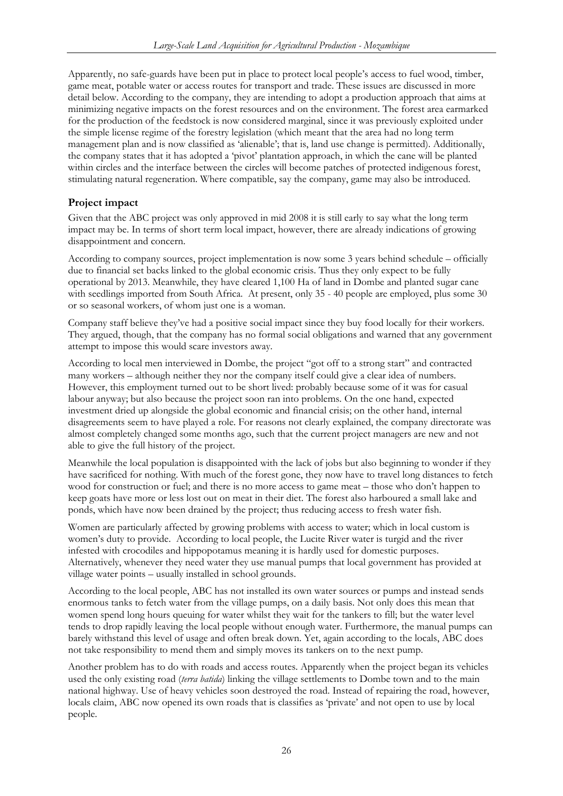<span id="page-26-0"></span>Apparently, no safe-guards have been put in place to protect local people's access to fuel wood, timber, game meat, potable water or access routes for transport and trade. These issues are discussed in more detail below. According to the company, they are intending to adopt a production approach that aims at minimizing negative impacts on the forest resources and on the environment. The forest area earmarked for the production of the feedstock is now considered marginal, since it was previously exploited under the simple license regime of the forestry legislation (which meant that the area had no long term management plan and is now classified as 'alienable'; that is, land use change is permitted). Additionally, the company states that it has adopted a 'pivot' plantation approach, in which the cane will be planted within circles and the interface between the circles will become patches of protected indigenous forest, stimulating natural regeneration. Where compatible, say the company, game may also be introduced.

### **Project impact**

Given that the ABC project was only approved in mid 2008 it is still early to say what the long term impact may be. In terms of short term local impact, however, there are already indications of growing disappointment and concern.

According to company sources, project implementation is now some 3 years behind schedule – officially due to financial set backs linked to the global economic crisis. Thus they only expect to be fully operational by 2013. Meanwhile, they have cleared 1,100 Ha of land in Dombe and planted sugar cane with seedlings imported from South Africa. At present, only 35 - 40 people are employed, plus some 30 or so seasonal workers, of whom just one is a woman.

Company staff believe they've had a positive social impact since they buy food locally for their workers. They argued, though, that the company has no formal social obligations and warned that any government attempt to impose this would scare investors away.

According to local men interviewed in Dombe, the project "got off to a strong start" and contracted many workers – although neither they nor the company itself could give a clear idea of numbers. However, this employment turned out to be short lived: probably because some of it was for casual labour anyway; but also because the project soon ran into problems. On the one hand, expected investment dried up alongside the global economic and financial crisis; on the other hand, internal disagreements seem to have played a role. For reasons not clearly explained, the company directorate was almost completely changed some months ago, such that the current project managers are new and not able to give the full history of the project.

Meanwhile the local population is disappointed with the lack of jobs but also beginning to wonder if they have sacrificed for nothing. With much of the forest gone, they now have to travel long distances to fetch wood for construction or fuel; and there is no more access to game meat – those who don't happen to keep goats have more or less lost out on meat in their diet. The forest also harboured a small lake and ponds, which have now been drained by the project; thus reducing access to fresh water fish.

Women are particularly affected by growing problems with access to water; which in local custom is women's duty to provide. According to local people, the Lucite River water is turgid and the river infested with crocodiles and hippopotamus meaning it is hardly used for domestic purposes. Alternatively, whenever they need water they use manual pumps that local government has provided at village water points – usually installed in school grounds.

According to the local people, ABC has not installed its own water sources or pumps and instead sends enormous tanks to fetch water from the village pumps, on a daily basis. Not only does this mean that women spend long hours queuing for water whilst they wait for the tankers to fill; but the water level tends to drop rapidly leaving the local people without enough water. Furthermore, the manual pumps can barely withstand this level of usage and often break down. Yet, again according to the locals, ABC does not take responsibility to mend them and simply moves its tankers on to the next pump.

Another problem has to do with roads and access routes. Apparently when the project began its vehicles used the only existing road (*terra batida*) linking the village settlements to Dombe town and to the main national highway. Use of heavy vehicles soon destroyed the road. Instead of repairing the road, however, locals claim, ABC now opened its own roads that is classifies as 'private' and not open to use by local people.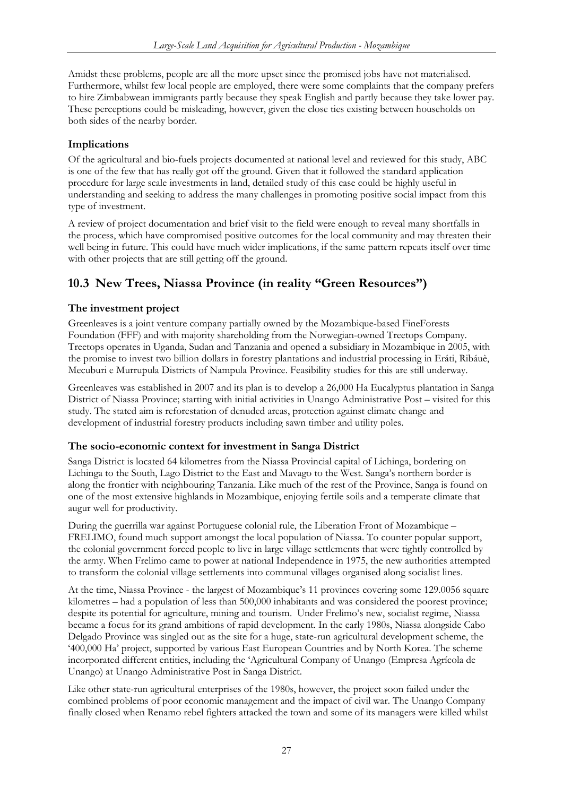<span id="page-27-0"></span>Amidst these problems, people are all the more upset since the promised jobs have not materialised. Furthermore, whilst few local people are employed, there were some complaints that the company prefers to hire Zimbabwean immigrants partly because they speak English and partly because they take lower pay. These perceptions could be misleading, however, given the close ties existing between households on both sides of the nearby border.

### **Implications**

Of the agricultural and bio-fuels projects documented at national level and reviewed for this study, ABC is one of the few that has really got off the ground. Given that it followed the standard application procedure for large scale investments in land, detailed study of this case could be highly useful in understanding and seeking to address the many challenges in promoting positive social impact from this type of investment.

A review of project documentation and brief visit to the field were enough to reveal many shortfalls in the process, which have compromised positive outcomes for the local community and may threaten their well being in future. This could have much wider implications, if the same pattern repeats itself over time with other projects that are still getting off the ground.

### **10.3 New Trees, Niassa Province (in reality "Green Resources")**

### **The investment project**

Greenleaves is a joint venture company partially owned by the Mozambique-based FineForests Foundation (FFF) and with majority shareholding from the Norwegian-owned Treetops Company. Treetops operates in Uganda, Sudan and Tanzania and opened a subsidiary in Mozambique in 2005, with the promise to invest two billion dollars in forestry plantations and industrial processing in Eráti, Ribáuè, Mecuburi e Murrupula Districts of Nampula Province. Feasibility studies for this are still underway.

Greenleaves was established in 2007 and its plan is to develop a 26,000 Ha Eucalyptus plantation in Sanga District of Niassa Province; starting with initial activities in Unango Administrative Post – visited for this study. The stated aim is reforestation of denuded areas, protection against climate change and development of industrial forestry products including sawn timber and utility poles.

### **The socio-economic context for investment in Sanga District**

Sanga District is located 64 kilometres from the Niassa Provincial capital of Lichinga, bordering on Lichinga to the South, Lago District to the East and Mavago to the West. Sanga's northern border is along the frontier with neighbouring Tanzania. Like much of the rest of the Province, Sanga is found on one of the most extensive highlands in Mozambique, enjoying fertile soils and a temperate climate that augur well for productivity.

During the guerrilla war against Portuguese colonial rule, the Liberation Front of Mozambique – FRELIMO, found much support amongst the local population of Niassa. To counter popular support, the colonial government forced people to live in large village settlements that were tightly controlled by the army. When Frelimo came to power at national Independence in 1975, the new authorities attempted to transform the colonial village settlements into communal villages organised along socialist lines.

At the time, Niassa Province - the largest of Mozambique's 11 provinces covering some 129.0056 square kilometres – had a population of less than 500,000 inhabitants and was considered the poorest province; despite its potential for agriculture, mining and tourism. Under Frelimo's new, socialist regime, Niassa became a focus for its grand ambitions of rapid development. In the early 1980s, Niassa alongside Cabo Delgado Province was singled out as the site for a huge, state-run agricultural development scheme, the '400,000 Ha' project, supported by various East European Countries and by North Korea. The scheme incorporated different entities, including the 'Agricultural Company of Unango (Empresa Agrícola de Unango) at Unango Administrative Post in Sanga District.

Like other state-run agricultural enterprises of the 1980s, however, the project soon failed under the combined problems of poor economic management and the impact of civil war. The Unango Company finally closed when Renamo rebel fighters attacked the town and some of its managers were killed whilst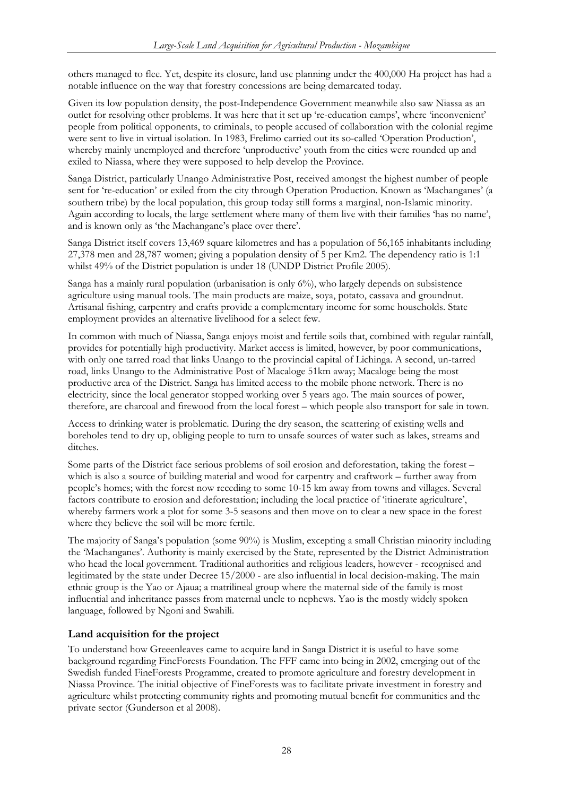<span id="page-28-0"></span>others managed to flee. Yet, despite its closure, land use planning under the 400,000 Ha project has had a notable influence on the way that forestry concessions are being demarcated today.

Given its low population density, the post-Independence Government meanwhile also saw Niassa as an outlet for resolving other problems. It was here that it set up 're-education camps', where 'inconvenient' people from political opponents, to criminals, to people accused of collaboration with the colonial regime were sent to live in virtual isolation. In 1983, Frelimo carried out its so-called 'Operation Production', whereby mainly unemployed and therefore 'unproductive' youth from the cities were rounded up and exiled to Niassa, where they were supposed to help develop the Province.

Sanga District, particularly Unango Administrative Post, received amongst the highest number of people sent for 're-education' or exiled from the city through Operation Production. Known as 'Machanganes' (a southern tribe) by the local population, this group today still forms a marginal, non-Islamic minority. Again according to locals, the large settlement where many of them live with their families 'has no name', and is known only as 'the Machangane's place over there'.

Sanga District itself covers 13,469 square kilometres and has a population of 56,165 inhabitants including 27,378 men and 28,787 women; giving a population density of 5 per Km2. The dependency ratio is 1:1 whilst 49% of the District population is under 18 (UNDP District Profile 2005).

Sanga has a mainly rural population (urbanisation is only 6%), who largely depends on subsistence agriculture using manual tools. The main products are maize, soya, potato, cassava and groundnut. Artisanal fishing, carpentry and crafts provide a complementary income for some households. State employment provides an alternative livelihood for a select few.

In common with much of Niassa, Sanga enjoys moist and fertile soils that, combined with regular rainfall, provides for potentially high productivity. Market access is limited, however, by poor communications, with only one tarred road that links Unango to the provincial capital of Lichinga. A second, un-tarred road, links Unango to the Administrative Post of Macaloge 51km away; Macaloge being the most productive area of the District. Sanga has limited access to the mobile phone network. There is no electricity, since the local generator stopped working over 5 years ago. The main sources of power, therefore, are charcoal and firewood from the local forest – which people also transport for sale in town.

Access to drinking water is problematic. During the dry season, the scattering of existing wells and boreholes tend to dry up, obliging people to turn to unsafe sources of water such as lakes, streams and ditches.

Some parts of the District face serious problems of soil erosion and deforestation, taking the forest – which is also a source of building material and wood for carpentry and craftwork – further away from people's homes; with the forest now receding to some 10-15 km away from towns and villages. Several factors contribute to erosion and deforestation; including the local practice of 'itinerate agriculture', whereby farmers work a plot for some 3-5 seasons and then move on to clear a new space in the forest where they believe the soil will be more fertile.

The majority of Sanga's population (some 90%) is Muslim, excepting a small Christian minority including the 'Machanganes'. Authority is mainly exercised by the State, represented by the District Administration who head the local government. Traditional authorities and religious leaders, however - recognised and legitimated by the state under Decree 15/2000 - are also influential in local decision-making. The main ethnic group is the Yao or Ajaua; a matrilineal group where the maternal side of the family is most influential and inheritance passes from maternal uncle to nephews. Yao is the mostly widely spoken language, followed by Ngoni and Swahili.

### **Land acquisition for the project**

To understand how Greeenleaves came to acquire land in Sanga District it is useful to have some background regarding FineForests Foundation. The FFF came into being in 2002, emerging out of the Swedish funded FineForests Programme, created to promote agriculture and forestry development in Niassa Province. The initial objective of FineForests was to facilitate private investment in forestry and agriculture whilst protecting community rights and promoting mutual benefit for communities and the private sector (Gunderson et al 2008).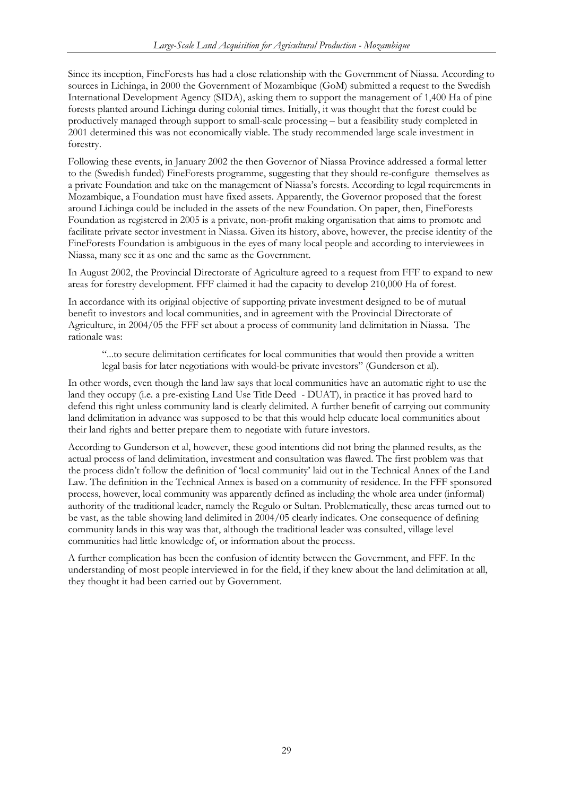Since its inception, FineForests has had a close relationship with the Government of Niassa. According to sources in Lichinga, in 2000 the Government of Mozambique (GoM) submitted a request to the Swedish International Development Agency (SIDA), asking them to support the management of 1,400 Ha of pine forests planted around Lichinga during colonial times. Initially, it was thought that the forest could be productively managed through support to small-scale processing – but a feasibility study completed in 2001 determined this was not economically viable. The study recommended large scale investment in forestry.

Following these events, in January 2002 the then Governor of Niassa Province addressed a formal letter to the (Swedish funded) FineForests programme, suggesting that they should re-configure themselves as a private Foundation and take on the management of Niassa's forests. According to legal requirements in Mozambique, a Foundation must have fixed assets. Apparently, the Governor proposed that the forest around Lichinga could be included in the assets of the new Foundation. On paper, then, FineForests Foundation as registered in 2005 is a private, non-profit making organisation that aims to promote and facilitate private sector investment in Niassa. Given its history, above, however, the precise identity of the FineForests Foundation is ambiguous in the eyes of many local people and according to interviewees in Niassa, many see it as one and the same as the Government.

In August 2002, the Provincial Directorate of Agriculture agreed to a request from FFF to expand to new areas for forestry development. FFF claimed it had the capacity to develop 210,000 Ha of forest.

In accordance with its original objective of supporting private investment designed to be of mutual benefit to investors and local communities, and in agreement with the Provincial Directorate of Agriculture, in 2004/05 the FFF set about a process of community land delimitation in Niassa. The rationale was:

"...to secure delimitation certificates for local communities that would then provide a written legal basis for later negotiations with would-be private investors" (Gunderson et al).

In other words, even though the land law says that local communities have an automatic right to use the land they occupy (i.e. a pre-existing Land Use Title Deed - DUAT), in practice it has proved hard to defend this right unless community land is clearly delimited. A further benefit of carrying out community land delimitation in advance was supposed to be that this would help educate local communities about their land rights and better prepare them to negotiate with future investors.

According to Gunderson et al, however, these good intentions did not bring the planned results, as the actual process of land delimitation, investment and consultation was flawed. The first problem was that the process didn't follow the definition of 'local community' laid out in the Technical Annex of the Land Law. The definition in the Technical Annex is based on a community of residence. In the FFF sponsored process, however, local community was apparently defined as including the whole area under (informal) authority of the traditional leader, namely the Regulo or Sultan. Problematically, these areas turned out to be vast, as the table showing land delimited in 2004/05 clearly indicates. One consequence of defining community lands in this way was that, although the traditional leader was consulted, village level communities had little knowledge of, or information about the process.

A further complication has been the confusion of identity between the Government, and FFF. In the understanding of most people interviewed in for the field, if they knew about the land delimitation at all, they thought it had been carried out by Government.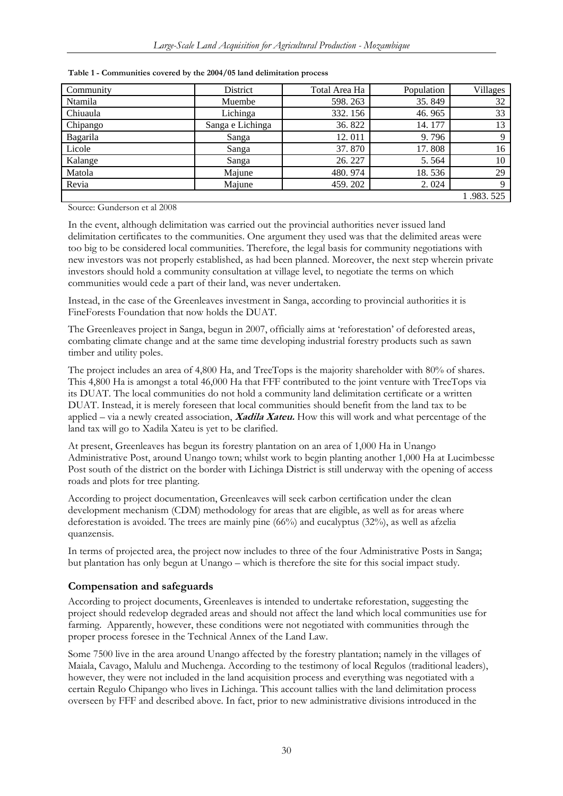| Community | District         | Total Area Ha | Population | <b>Villages</b> |
|-----------|------------------|---------------|------------|-----------------|
| Ntamila   | Muembe           | 598.263       | 35.849     | 32              |
| Chiuaula  | Lichinga         | 332.156       | 46.965     | 33              |
| Chipango  | Sanga e Lichinga | 36.822        | 14.177     | 13              |
| Bagarila  | Sanga            | 12.011        | 9.796      | Q               |
| Licole    | Sanga            | 37.870        | 17.808     | 16              |
| Kalange   | Sanga            | 26.227        | 5.564      | 10              |
| Matola    | Majune           | 480.974       | 18.536     | 29              |
| Revia     | Majune           | 459.202       | 2.024      | Q               |
|           |                  |               |            | 1.983.525       |

<span id="page-30-0"></span>**Table 1 - Communities covered by the 2004/05 land delimitation process** 

Source: Gunderson et al 2008

In the event, although delimitation was carried out the provincial authorities never issued land delimitation certificates to the communities. One argument they used was that the delimited areas were too big to be considered local communities. Therefore, the legal basis for community negotiations with new investors was not properly established, as had been planned. Moreover, the next step wherein private investors should hold a community consultation at village level, to negotiate the terms on which communities would cede a part of their land, was never undertaken.

Instead, in the case of the Greenleaves investment in Sanga, according to provincial authorities it is FineForests Foundation that now holds the DUAT.

The Greenleaves project in Sanga, begun in 2007, officially aims at 'reforestation' of deforested areas, combating climate change and at the same time developing industrial forestry products such as sawn timber and utility poles.

The project includes an area of 4,800 Ha, and TreeTops is the majority shareholder with 80% of shares. This 4,800 Ha is amongst a total 46,000 Ha that FFF contributed to the joint venture with TreeTops via its DUAT. The local communities do not hold a community land delimitation certificate or a written DUAT. Instead, it is merely foreseen that local communities should benefit from the land tax to be applied – via a newly created association, **Xadila Xateu.** How this will work and what percentage of the land tax will go to Xadila Xateu is yet to be clarified.

At present, Greenleaves has begun its forestry plantation on an area of 1,000 Ha in Unango Administrative Post, around Unango town; whilst work to begin planting another 1,000 Ha at Lucimbesse Post south of the district on the border with Lichinga District is still underway with the opening of access roads and plots for tree planting.

According to project documentation, Greenleaves will seek carbon certification under the clean development mechanism (CDM) methodology for areas that are eligible, as well as for areas where deforestation is avoided. The trees are mainly pine (66%) and eucalyptus (32%), as well as afzelia quanzensis.

In terms of projected area, the project now includes to three of the four Administrative Posts in Sanga; but plantation has only begun at Unango – which is therefore the site for this social impact study.

### **Compensation and safeguards**

According to project documents, Greenleaves is intended to undertake reforestation, suggesting the project should redevelop degraded areas and should not affect the land which local communities use for farming. Apparently, however, these conditions were not negotiated with communities through the proper process foresee in the Technical Annex of the Land Law.

Some 7500 live in the area around Unango affected by the forestry plantation; namely in the villages of Maiala, Cavago, Malulu and Muchenga. According to the testimony of local Regulos (traditional leaders), however, they were not included in the land acquisition process and everything was negotiated with a certain Regulo Chipango who lives in Lichinga. This account tallies with the land delimitation process overseen by FFF and described above. In fact, prior to new administrative divisions introduced in the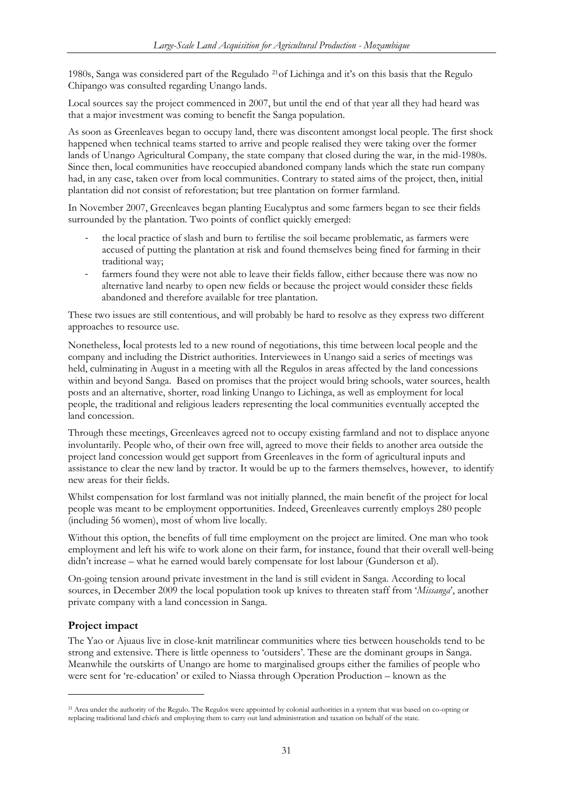<span id="page-31-0"></span>1980s, Sanga was considered part of the Regulado [21](#page-31-1)of Lichinga and it's on this basis that the Regulo Chipango was consulted regarding Unango lands.

Local sources say the project commenced in 2007, but until the end of that year all they had heard was that a major investment was coming to benefit the Sanga population.

As soon as Greenleaves began to occupy land, there was discontent amongst local people. The first shock happened when technical teams started to arrive and people realised they were taking over the former lands of Unango Agricultural Company, the state company that closed during the war, in the mid-1980s. Since then, local communities have reoccupied abandoned company lands which the state run company had, in any case, taken over from local communities. Contrary to stated aims of the project, then, initial plantation did not consist of reforestation; but tree plantation on former farmland.

In November 2007, Greenleaves began planting Eucalyptus and some farmers began to see their fields surrounded by the plantation. Two points of conflict quickly emerged:

- ‐ the local practice of slash and burn to fertilise the soil became problematic, as farmers were accused of putting the plantation at risk and found themselves being fined for farming in their traditional way;
- farmers found they were not able to leave their fields fallow, either because there was now no alternative land nearby to open new fields or because the project would consider these fields abandoned and therefore available for tree plantation.

These two issues are still contentious, and will probably be hard to resolve as they express two different approaches to resource use.

Nonetheless, local protests led to a new round of negotiations, this time between local people and the company and including the District authorities. Interviewees in Unango said a series of meetings was held, culminating in August in a meeting with all the Regulos in areas affected by the land concessions within and beyond Sanga. Based on promises that the project would bring schools, water sources, health posts and an alternative, shorter, road linking Unango to Lichinga, as well as employment for local people, the traditional and religious leaders representing the local communities eventually accepted the land concession.

Through these meetings, Greenleaves agreed not to occupy existing farmland and not to displace anyone involuntarily. People who, of their own free will, agreed to move their fields to another area outside the project land concession would get support from Greenleaves in the form of agricultural inputs and assistance to clear the new land by tractor. It would be up to the farmers themselves, however, to identify new areas for their fields.

Whilst compensation for lost farmland was not initially planned, the main benefit of the project for local people was meant to be employment opportunities. Indeed, Greenleaves currently employs 280 people (including 56 women), most of whom live locally.

Without this option, the benefits of full time employment on the project are limited. One man who took employment and left his wife to work alone on their farm, for instance, found that their overall well-being didn't increase – what he earned would barely compensate for lost labour (Gunderson et al).

On-going tension around private investment in the land is still evident in Sanga. According to local sources, in December 2009 the local population took up knives to threaten staff from '*Missanga*', another private company with a land concession in Sanga.

### **Project impact**

-

The Yao or Ajuaus live in close-knit matrilinear communities where ties between households tend to be strong and extensive. There is little openness to 'outsiders'. These are the dominant groups in Sanga. Meanwhile the outskirts of Unango are home to marginalised groups either the families of people who were sent for 're-education' or exiled to Niassa through Operation Production – known as the

<span id="page-31-1"></span><sup>21</sup> Area under the authority of the Regulo. The Regulos were appointed by colonial authorities in a system that was based on co-opting or replacing traditional land chiefs and employing them to carry out land administration and taxation on behalf of the state.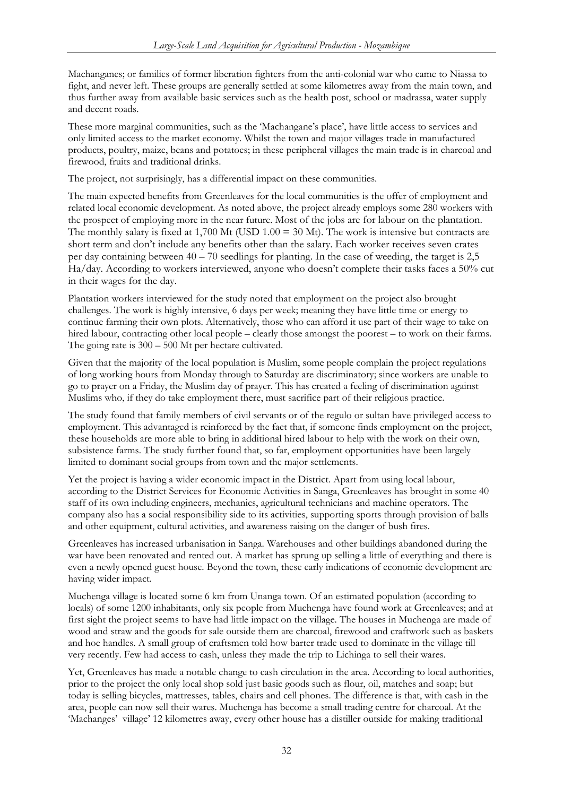Machanganes; or families of former liberation fighters from the anti-colonial war who came to Niassa to fight, and never left. These groups are generally settled at some kilometres away from the main town, and thus further away from available basic services such as the health post, school or madrassa, water supply and decent roads.

These more marginal communities, such as the 'Machangane's place', have little access to services and only limited access to the market economy. Whilst the town and major villages trade in manufactured products, poultry, maize, beans and potatoes; in these peripheral villages the main trade is in charcoal and firewood, fruits and traditional drinks.

The project, not surprisingly, has a differential impact on these communities.

The main expected benefits from Greenleaves for the local communities is the offer of employment and related local economic development. As noted above, the project already employs some 280 workers with the prospect of employing more in the near future. Most of the jobs are for labour on the plantation. The monthly salary is fixed at  $1,700$  Mt (USD  $1.00 = 30$  Mt). The work is intensive but contracts are short term and don't include any benefits other than the salary. Each worker receives seven crates per day containing between  $40 - 70$  seedlings for planting. In the case of weeding, the target is 2,5 Ha/day. According to workers interviewed, anyone who doesn't complete their tasks faces a 50% cut in their wages for the day.

Plantation workers interviewed for the study noted that employment on the project also brought challenges. The work is highly intensive, 6 days per week; meaning they have little time or energy to continue farming their own plots. Alternatively, those who can afford it use part of their wage to take on hired labour, contracting other local people – clearly those amongst the poorest – to work on their farms. The going rate is 300 – 500 Mt per hectare cultivated.

Given that the majority of the local population is Muslim, some people complain the project regulations of long working hours from Monday through to Saturday are discriminatory; since workers are unable to go to prayer on a Friday, the Muslim day of prayer. This has created a feeling of discrimination against Muslims who, if they do take employment there, must sacrifice part of their religious practice.

The study found that family members of civil servants or of the regulo or sultan have privileged access to employment. This advantaged is reinforced by the fact that, if someone finds employment on the project, these households are more able to bring in additional hired labour to help with the work on their own, subsistence farms. The study further found that, so far, employment opportunities have been largely limited to dominant social groups from town and the major settlements.

Yet the project is having a wider economic impact in the District. Apart from using local labour, according to the District Services for Economic Activities in Sanga, Greenleaves has brought in some 40 staff of its own including engineers, mechanics, agricultural technicians and machine operators. The company also has a social responsibility side to its activities, supporting sports through provision of balls and other equipment, cultural activities, and awareness raising on the danger of bush fires.

Greenleaves has increased urbanisation in Sanga. Warehouses and other buildings abandoned during the war have been renovated and rented out. A market has sprung up selling a little of everything and there is even a newly opened guest house. Beyond the town, these early indications of economic development are having wider impact.

Muchenga village is located some 6 km from Unanga town. Of an estimated population (according to locals) of some 1200 inhabitants, only six people from Muchenga have found work at Greenleaves; and at first sight the project seems to have had little impact on the village. The houses in Muchenga are made of wood and straw and the goods for sale outside them are charcoal, firewood and craftwork such as baskets and hoe handles. A small group of craftsmen told how barter trade used to dominate in the village till very recently. Few had access to cash, unless they made the trip to Lichinga to sell their wares.

Yet, Greenleaves has made a notable change to cash circulation in the area. According to local authorities, prior to the project the only local shop sold just basic goods such as flour, oil, matches and soap; but today is selling bicycles, mattresses, tables, chairs and cell phones. The difference is that, with cash in the area, people can now sell their wares. Muchenga has become a small trading centre for charcoal. At the 'Machanges' village' 12 kilometres away, every other house has a distiller outside for making traditional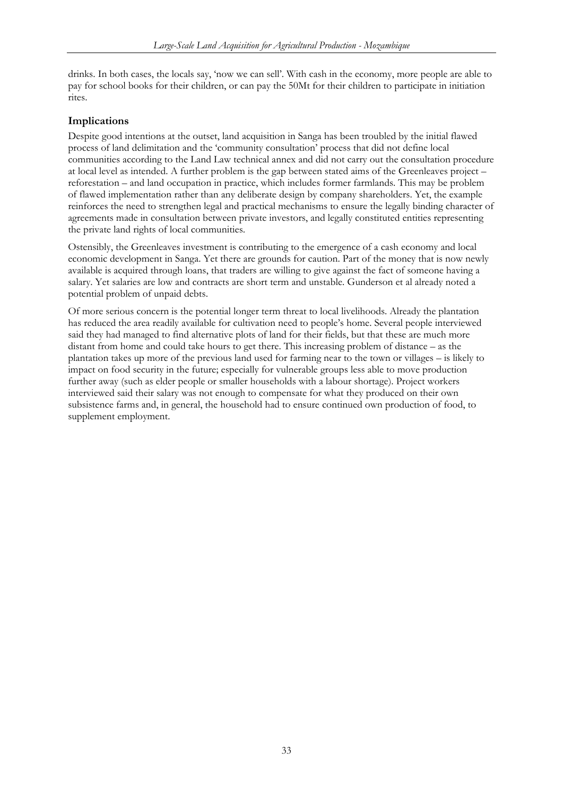<span id="page-33-0"></span>drinks. In both cases, the locals say, 'now we can sell'. With cash in the economy, more people are able to pay for school books for their children, or can pay the 50Mt for their children to participate in initiation rites.

### **Implications**

Despite good intentions at the outset, land acquisition in Sanga has been troubled by the initial flawed process of land delimitation and the 'community consultation' process that did not define local communities according to the Land Law technical annex and did not carry out the consultation procedure at local level as intended. A further problem is the gap between stated aims of the Greenleaves project – reforestation – and land occupation in practice, which includes former farmlands. This may be problem of flawed implementation rather than any deliberate design by company shareholders. Yet, the example reinforces the need to strengthen legal and practical mechanisms to ensure the legally binding character of agreements made in consultation between private investors, and legally constituted entities representing the private land rights of local communities.

Ostensibly, the Greenleaves investment is contributing to the emergence of a cash economy and local economic development in Sanga. Yet there are grounds for caution. Part of the money that is now newly available is acquired through loans, that traders are willing to give against the fact of someone having a salary. Yet salaries are low and contracts are short term and unstable. Gunderson et al already noted a potential problem of unpaid debts.

Of more serious concern is the potential longer term threat to local livelihoods. Already the plantation has reduced the area readily available for cultivation need to people's home. Several people interviewed said they had managed to find alternative plots of land for their fields, but that these are much more distant from home and could take hours to get there. This increasing problem of distance – as the plantation takes up more of the previous land used for farming near to the town or villages – is likely to impact on food security in the future; especially for vulnerable groups less able to move production further away (such as elder people or smaller households with a labour shortage). Project workers interviewed said their salary was not enough to compensate for what they produced on their own subsistence farms and, in general, the household had to ensure continued own production of food, to supplement employment.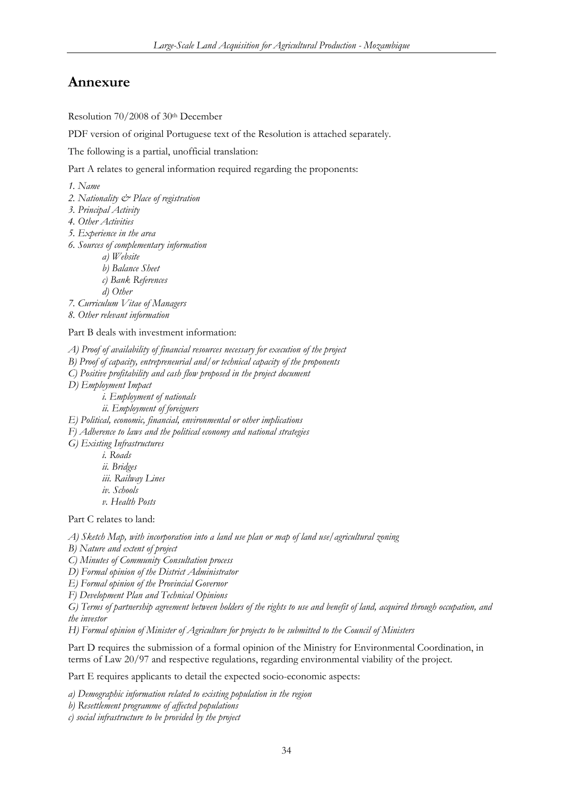## <span id="page-34-0"></span>**Annexure**

Resolution 70/2008 of 30th December

PDF version of original Portuguese text of the Resolution is attached separately.

The following is a partial, unofficial translation:

Part A relates to general information required regarding the proponents:

*1. Name* 

- *2. Nationality & Place of registration*
- *3. Principal Activity*
- *4. Other Activities*
- *5. Experience in the area*
- *6. Sources of complementary information* 
	- *a) Website* 
		- *b) Balance Sheet*
		- *c) Bank References*

 *d) Other* 

*7. Curriculum Vitae of Managers* 

*8. Other relevant information* 

#### Part B deals with investment information:

*A) Proof of availability of financial resources necessary for execution of the project* 

- *B) Proof of capacity, entrepreneurial and/or technical capacity of the proponents*
- *C) Positive profitability and cash flow proposed in the project document*

*D) Employment Impact* 

- *i. Employment of nationals*
- *ii. Employment of foreigners*
- *E) Political, economic, financial, environmental or other implications*

*F) Adherence to laws and the political economy and national strategies* 

*G) Existing Infrastructures* 

 *i. Roads ii. Bridges iii. Railway Lines iv. Schools* 

 *v. Health Posts* 

Part C relates to land:

*A) Sketch Map, with incorporation into a land use plan or map of land use/agricultural zoning* 

*B) Nature and extent of project* 

*C) Minutes of Community Consultation process* 

*D) Formal opinion of the District Administrator* 

*E) Formal opinion of the Provincial Governor* 

*F) Development Plan and Technical Opinions* 

*G) Terms of partnership agreement between holders of the rights to use and benefit of land, acquired through occupation, and the investor* 

*H) Formal opinion of Minister of Agriculture for projects to be submitted to the Council of Ministers* 

Part D requires the submission of a formal opinion of the Ministry for Environmental Coordination, in terms of Law 20/97 and respective regulations, regarding environmental viability of the project.

Part E requires applicants to detail the expected socio-economic aspects:

*a) Demographic information related to existing population in the region* 

*b) Resettlement programme of affected populations* 

*c) social infrastructure to be provided by the project*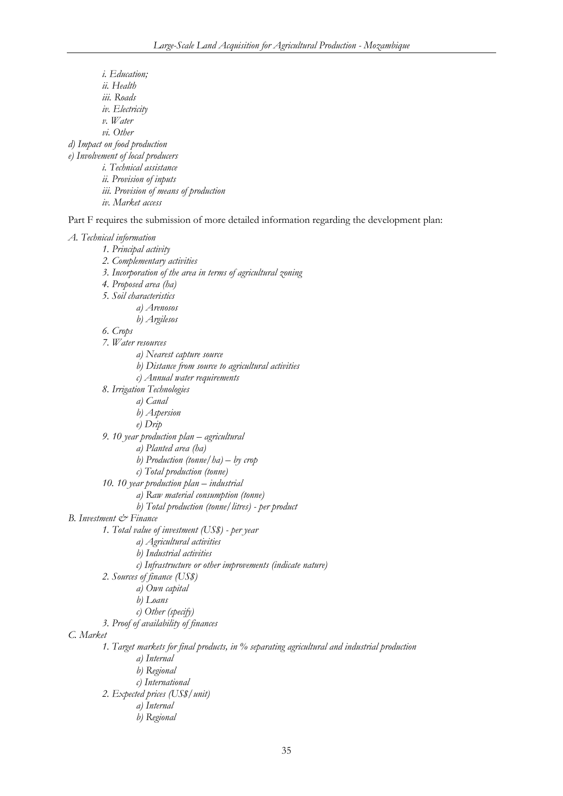*i. Education; ii. Health iii. Roads iv. Electricity v. Water vi. Other d) Impact on food production e) Involvement of local producers i. Technical assistance ii. Provision of inputs iii. Provision of means of production iv. Market access* 

Part F requires the submission of more detailed information regarding the development plan:

#### *A. Technical information*

 *1. Principal activity 2. Complementary activities 3. Incorporation of the area in terms of agricultural zoning 4. Proposed area (ha) 5. Soil characteristics a) Arenosos b) Argilesos 6. Crops 7. Water resources a) Nearest capture source b) Distance from source to agricultural activities c) Annual water requirements 8. Irrigation Technologies a) Canal b) Aspersion e) Drip 9. 10 year production plan – agricultural a) Planted area (ha) b) Production (tonne/ha) – by crop c) Total production (tonne) 10. 10 year production plan – industrial a) Raw material consumption (tonne) b) Total production (tonne/litres) - per product B. Investment & Finance 1. Total value of investment (US\$) - per year a) Agricultural activities b) Industrial activities c) Infrastructure or other improvements (indicate nature) 2. Sources of finance (US\$) a) Own capital b) Loans c) Other (specify) 3. Proof of availability of finances C. Market 1. Target markets for final products, in % separating agricultural and industrial production a) Internal b) Regional c) International 2. Expected prices (US\$/unit) a) Internal b) Regional*